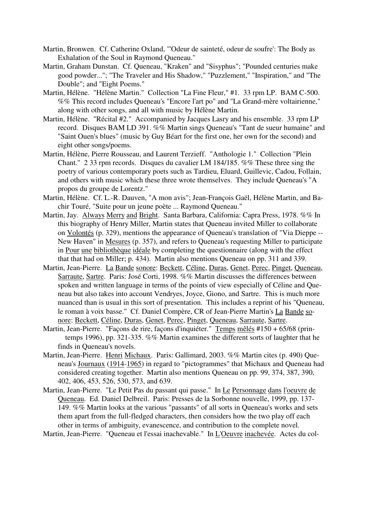- Martin, Bronwen. Cf. Catherine Oxland, "'Odeur de sainteté, odeur de soufre': The Body as Exhalation of the Soul in Raymond Queneau."
- Martin, Graham Dunstan. Cf. Queneau, "Kraken" and "Sisyphus"; "Pounded centuries make good powder..."; "The Traveler and His Shadow," "Puzzlement," "Inspiration," and "The Double"; and "Eight Poems."
- Martin, Hélène. "Hélène Martin." Collection "La Fine Fleur," #1. 33 rpm LP. BAM C-500. %% This record includes Queneau's "Encore l'art po" and "La Grand-mère voltairienne," along with other songs, and all with music by Hélène Martin.
- Martin, Hélène. "Récital #2." Accompanied by Jacques Lasry and his ensemble. 33 rpm LP record. Disques BAM LD 391. %% Martin sings Queneau's "Tant de sueur humaine" and "Saint Ouen's blues" (music by Guy Béart for the first one, her own for the second) and eight other songs/poems.
- Martin, Hélène, Pierre Rousseau, and Laurent Terzieff. "Anthologie 1." Collection "Plein Chant." 2 33 rpm records. Disques du cavalier LM 184/185. %% These three sing the poetry of various contemporary poets such as Tardieu, Eluard, Guillevic, Cadou, Follain, and others with music which these three wrote themselves. They include Queneau's "A propos du groupe de Lorentz."
- Martin, Hélène. Cf. L.-R. Dauven, "A mon avis"; Jean-François Gaël, Hélène Martin, and Bachir Touré, "Suite pour un jeune poète ... Raymond Queneau."
- Martin, Jay. Always Merry and Bright. Santa Barbara, California: Capra Press, 1978. %% In this biography of Henry Miller, Martin states that Queneau invited Miller to collaborate on Volontés (p. 329), mentions the appearance of Queneau's translation of "Via Dieppe -- New Haven" in Mesures (p. 357), and refers to Queneau's requesting Miller to participate in Pour une bibliothèque idéale by completing the questionnaire (along with the effect that that had on Miller; p. 434). Martin also mentions Queneau on pp. 311 and 339.
- Martin, Jean-Pierre. La Bande sonore: Beckett, Céline, Duras, Genet, Perec, Pinget, Queneau, Sarraute, Sartre. Paris: José Corti, 1998. %% Martin discusses the differences between spoken and written language in terms of the points of view especially of Céline and Queneau but also takes into account Vendryes, Joyce, Giono, and Sartre. This is much more nuanced than is usual in this sort of presentation. This includes a reprint of his "Queneau, le roman à voix basse." Cf. Daniel Compère, CR of Jean-Pierre Martin's La Bande sonore: Beckett, Céline, Duras, Genet, Perec, Pinget, Queneau, Sarraute, Sartre.
- Martin, Jean-Pierre. "Façons de rire, façons d'inquiéter." Temps mêlés #150 + 65/68 (prin temps 1996), pp. 321-335. %% Martin examines the different sorts of laughter that he finds in Queneau's novels.
- Martin, Jean-Pierre. Henri Michaux. Paris: Gallimard, 2003. %% Martin cites (p. 490) Queneau's Journaux (1914-1965) in regard to "pictogrammes" that Michaux and Queneau had considered creating together. Martin also mentions Queneau on pp. 99, 374, 387, 390, 402, 406, 453, 526, 530, 573, and 639.
- Martin, Jean-Pierre. "Le Petit Pas du passant qui passe." In Le Personnage dans l'oeuvre de Queneau. Ed. Daniel Delbreil. Paris: Presses de la Sorbonne nouvelle, 1999, pp. 137- 149. %% Martin looks at the various "passants" of all sorts in Queneau's works and sets them apart from the full-fledged characters, then considers how the two play off each other in terms of ambiguity, evanescence, and contribution to the complete novel.

Martin, Jean-Pierre. "Queneau et l'essai inachevable." In L'Oeuvre inachevée. Actes du col-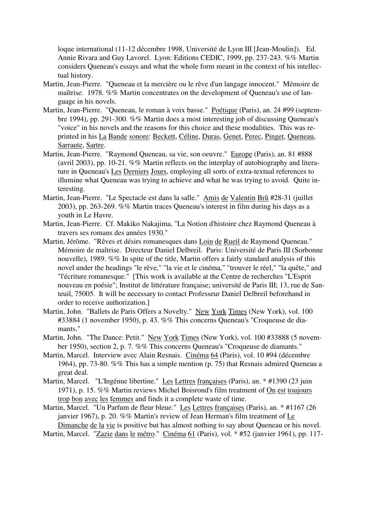loque international (11-12 décembre 1998, Université de Lyon III [Jean-Moulin]). Ed. Annie Rivara and Guy Lavorel. Lyon: Editions CEDIC, 1999, pp. 237-243. %% Martin considers Queneau's essays and what the whole form meant in the context of his intellectual history.

- Martin, Jean-Pierre. "Queneau et la mercière ou le rêve d'un langage innocent." Mémoire de maîtrise. 1978. %% Martin concentrates on the development of Queneau's use of language in his novels.
- Martin, Jean-Pierre. "Queneau, le roman à voix basse." Poétique (Paris), an. 24 #99 (septembre 1994), pp. 291-300. %% Martin does a most interesting job of discussing Queneau's "voice" in his novels and the reasons for this choice and these modalities. This was reprinted in his La Bande sonore: Beckett, Céline, Duras, Genet, Perec, Pinget, Queneau, Sarraute, Sartre.
- Martin, Jean-Pierre. "Raymond Queneau, sa vie, son oeuvre." Europe (Paris), an. 81 #888 (avril 2003), pp. 10-21. %% Martin reflects on the interplay of autobiography and literature in Queneau's Les Derniers Jours, employing all sorts of extra-textual references to illumine what Queneau was trying to achieve and what he was trying to avoid. Quite interesting.
- Martin, Jean-Pierre. "Le Spectacle est dans la salle." Amis de Valentin Brû #28-31 (juillet 2003), pp. 263-269. %% Martin traces Queneau's interest in film during his days as a youth in Le Havre.
- Martin, Jean-Pierre. Cf. Makiko Nakajima, "La Notion d'histoire chez Raymond Queneau à travers ses romans des années 1930."
- Martin, Jérôme. "Rêves et désirs romanesques dans Loin de Rueil de Raymond Queneau." Mémoire de maîtrise. Directeur Daniel Delbreil. Paris: Université de Paris III (Sorbonne nouvelle), 1989. %% In spite of the title, Martin offers a fairly standard analysis of this novel under the headings "le rêve," "la vie et le cinéma," "trouver le réel," "la quête," and "l'écriture romanesque." [This work is available at the Centre de recherches "L'Esprit nouveau en poésie"; Institut de littérature française; université de Paris III; 13, rue de Santeuil, 75005. It will be necessary to contact Professeur Daniel Delbreil beforehand in order to receive authorization.]
- Martin, John. "Ballets de Paris Offers a Novelty." New York Times (New York), vol. 100 #33884 (1 november 1950), p. 43. %% This concerns Queneau's "Croqueuse de diamants."
- Martin, John. "The Dance: Petit." New York Times (New York), vol. 100 #33888 (5 november 1950), section 2, p. 7. %% This concerns Queneau's "Croqueuse de diamants."
- Martin, Marcel. Interview avec Alain Resnais. Cinéma 64 (Paris), vol. 10 #94 (décembre 1964), pp. 73-80. %% This has a simple mention (p. 75) that Resnais admired Queneau a great deal.
- Martin, Marcel. "L'Ingénue libertine." Les Lettres françaises (Paris), an. \* #1390 (23 juin 1971), p. 15. %% Martin reviews Michel Boisrond's film treatment of On est toujours trop bon avec les femmes and finds it a complete waste of time.

Martin, Marcel. "Un Parfum de fleur bleue." Les Lettres françaises (Paris), an. \* #1167 (26 janvier 1967), p. 20. %% Martin's review of Jean Herman's film treatment of Le Dimanche de la vie is positive but has almost nothing to say about Queneau or his novel.

Martin, Marcel. "Zazie dans le métro." Cinéma 61 (Paris), vol. \* #52 (janvier 1961), pp. 117-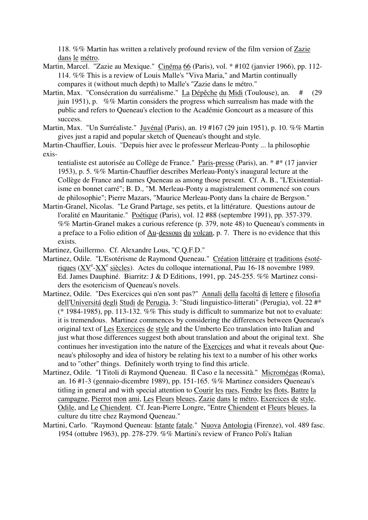118. %% Martin has written a relatively profound review of the film version of Zazie dans le métro.

- Martin, Marcel. "Zazie au Mexique." Cinéma 66 (Paris), vol. \* #102 (janvier 1966), pp. 112- 114. %% This is a review of Louis Malle's "Viva Maria," and Martin continually compares it (without much depth) to Malle's "Zazie dans le métro."
- Martin, Max. "Consécration du surréalisme." La Dépêche du Midi (Toulouse), an. # (29 juin 1951), p. %% Martin considers the progress which surrealism has made with the public and refers to Queneau's election to the Académie Goncourt as a measure of this success.
- Martin, Max. "Un Surréaliste." Juvénal (Paris), an. 19 #167 (29 juin 1951), p. 10. %% Martin gives just a rapid and popular sketch of Queneau's thought and style.

Martin-Chauffier, Louis. "Depuis hier avec le professeur Merleau-Ponty ... la philosophie exis-

tentialiste est autorisée au Collège de France." Paris-presse (Paris), an. \* #\* (17 janvier 1953), p. 5. %% Martin-Chauffier describes Merleau-Ponty's inaugural lecture at the Collège de France and names Queneau as among those present. Cf. A. B., "L'Existentialisme en bonnet carré"; B. D., "M. Merleau-Ponty a magistralement commencé son cours de philosophie"; Pierre Mazars, "Maurice Merleau-Ponty dans la chaire de Bergson."

Martin-Granel, Nicolas. "Le Grand Partage, ses petits, et la littérature. Questions autour de l'oralité en Mauritanie." Poétique (Paris), vol. 12 #88 (septembre 1991), pp. 357-379. %% Martin-Granel makes a curious reference (p. 379, note 48) to Queneau's comments in a preface to a Folio edition of Au-dessous du volcan, p. 7. There is no evidence that this exists.

Martinez, Guillermo. Cf. Alexandre Lous, "C.Q.F.D."

- Martinez, Odile. "L'Esotérisme de Raymond Queneau." Création littéraire et traditions ésotériques ( $XV^e$ - $XX^e$  siècles). Actes du colloque international, Pau 16-18 novembre 1989. Ed. James Dauphiné. Biarritz: J & D Editions, 1991, pp. 245-255. %% Martinez considers the esotericism of Queneau's novels.
- Martinez, Odile. "Des Exercices qui n'en sont pas?" Annali della facoltá di lettere e filosofia dell'Universitá degli Studi de Perugia, 3: "Studi linguistico-litterati" (Perugia), vol. 22 #\* (\* 1984-1985), pp. 113-132.  $\%$ % This study is difficult to summarize but not to evaluate: it is tremendous. Martinez commences by considering the differences between Queneau's original text of Les Exercices de style and the Umberto Eco translation into Italian and just what those differences suggest both about translation and about the original text. She continues her investigation into the nature of the Exercices and what it reveals about Queneau's philosophy and idea of history be relating his text to a number of his other works and to "other" things. Definitely worth trying to find this article.
- Martinez, Odile. "I Titoli di Raymond Queneau. Il Caso e la necessità." Micromégas (Roma), an. 16 #1-3 (gennaio-dicembre 1989), pp. 151-165. %% Martinez considers Queneau's titling in general and with special attention to Courir les rues, Fendre les flots, Battre la campagne, Pierrot mon ami, Les Fleurs bleues, Zazie dans le métro, Exercices de style, Odile, and Le Chiendent. Cf. Jean-Pierre Longre, "Entre Chiendent et Fleurs bleues, la culture du titre chez Raymond Queneau."
- Martini, Carlo. "Raymond Queneau: *Istante fatale*." Nuova Antologia (Firenze), vol. 489 fasc. 1954 (ottubre 1963), pp. 278-279. %% Martini's review of Franco Poli's Italian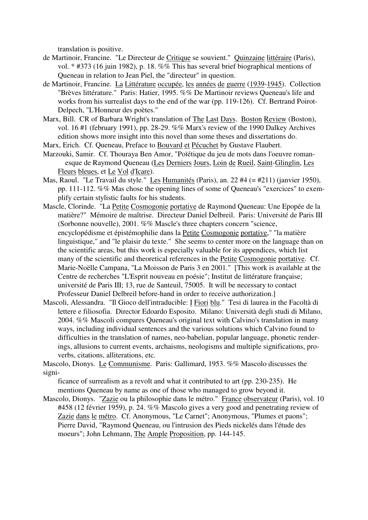translation is positive.

- de Martinoir, Francine. "Le Directeur de Critique se souvient." Quinzaine littéraire (Paris), vol. \* #373 (16 juin 1982), p. 18. %% This has several brief biographical mentions of Queneau in relation to Jean Piel, the "directeur" in question.
- de Martinoir, Francine. La Littérature occupée, les années de guerre (1939-1945). Collection "Brèves littérature." Paris: Hatier, 1995. %% De Martinoir reviews Queneau's life and works from his surrealist days to the end of the war (pp. 119-126). Cf. Bertrand Poirot-Delpech, "L'Honneur des poètes."
- Marx, Bill. CR of Barbara Wright's translation of The Last Days. Boston Review (Boston), vol. 16 #1 (february 1991), pp. 28-29. %% Marx's review of the 1990 Dalkey Archives edition shows more insight into this novel than some theses and dissertations do.
- Marx, Erich. Cf. Queneau, Preface to Bouvard et Pécuchet by Gustave Flaubert.
- Marzouki, Samir. Cf. Thouraya Ben Amor, "Poïétique du jeu de mots dans l'oeuvre roman esque de Raymond Queneau (Les Derniers Jours, Loin de Rueil, Saint-Glinglin, Les Fleurs bleues, et Le Vol d'Icare).
- Mas, Raoul. "Le Travail du style." Les Humanités (Paris), an. 22 #4 (= #211) (janvier 1950), pp. 111-112. %% Mas chose the opening lines of some of Queneau's "exercices" to exemplify certain stylistic faults for his students.
- Mascle, Clorinde. "La Petite Cosmogonie portative de Raymond Queneau: Une Epopée de la matière?" Mémoire de maîtrise. Directeur Daniel Delbreil. Paris: Université de Paris III (Sorbonne nouvelle), 2001. %% Mascle's three chapters concern "science, encyclopédisme et épistémophilie dans la Petite Cosmogonie portative," "la matière linguistique," and "le plaisir du texte." She seems to center more on the language than on the scientific areas, but this work is especially valuable for its appendices, which list many of the scientific and theoretical references in the Petite Cosmogonie portative. Cf. Marie-Noëlle Campana, "La Moisson de Paris 3 en 2001." [This work is available at the Centre de recherches "L'Esprit nouveau en poésie"; Institut de littérature française; université de Paris III; 13, rue de Santeuil, 75005. It will be necessary to contact Professeur Daniel Delbreil before-hand in order to receive authorization.]
- Mascoli, Alessandra. "Il Gioco dell'intraducible: I Fiori blu." Tesi di laurea in the Facoltà di lettere e filiosofia. Director Edoardo Esposito. Milano: Università degli studi di Milano, 2004. %% Mascoli compares Queneau's original text with Calvino's translation in many ways, including individual sentences and the various solutions which Calvino found to difficulties in the translation of names, neo-babelian, popular language, phonetic renderings, allusions to current events, archaisms, neologisms and multiple significations, proverbs, citations, alliterations, etc.

Mascolo, Dionys. Le Communisme. Paris: Gallimard, 1953. %% Mascolo discusses the signi-

ficance of surrealism as a revolt and what it contributed to art (pp. 230-235). He mentions Queneau by name as one of those who managed to grow beyond it.

Mascolo, Dionys. "Zazie ou la philosophie dans le métro." France observateur (Paris), vol. 10 #458 (12 février 1959), p. 24. %% Mascolo gives a very good and penetrating review of Zazie dans le métro. Cf. Anonymous, "Le Carnet"; Anonymous, "Plumes et paons"; Pierre David, "Raymond Queneau, ou l'intrusion des Pieds nickelés dans l'étude des moeurs"; John Lehmann, The Ample Proposition, pp. 144-145.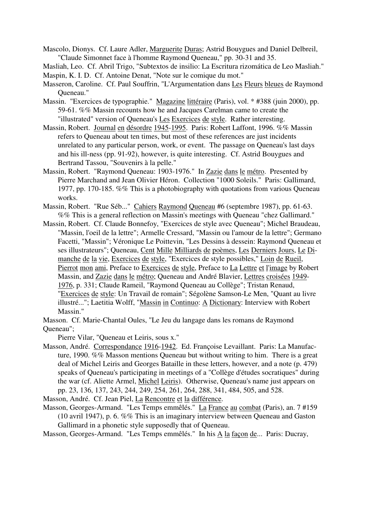Mascolo, Dionys. Cf. Laure Adler, Marguerite Duras; Astrid Bouygues and Daniel Delbreil, "Claude Simonnet face à l'homme Raymond Queneau," pp. 30-31 and 35.

Masliah, Leo. Cf. Abril Trigo, "Subtextos de insilio: La Escritura rizomática de Leo Masliah." Maspin, K. I. D. Cf. Antoine Denat, "Note sur le comique du mot."

- Masseron, Caroline. Cf. Paul Souffrin, "L'Argumentation dans Les Fleurs bleues de Raymond Queneau."
- Massin. "Exercices de typographie." Magazine littéraire (Paris), vol. \* #388 (juin 2000), pp. 59-61. %% Massin recounts how he and Jacques Carelman came to create the "illustrated" version of Queneau's Les Exercices de style. Rather interesting.
- Massin, Robert. Journal en désordre 1945-1995. Paris: Robert Laffont, 1996. %% Massin refers to Queneau about ten times, but most of these references are just incidents unrelated to any particular person, work, or event. The passage on Queneau's last days and his ill-ness (pp. 91-92), however, is quite interesting. Cf. Astrid Bouygues and Bertrand Tassou, "Souvenirs à la pelle."
- Massin, Robert. "Raymond Queneau: 1903-1976." In Zazie dans le métro. Presented by Pierre Marchand and Jean Olivier Héron. Collection "1000 Soleils." Paris: Gallimard, 1977, pp. 170-185. %% This is a photobiography with quotations from various Queneau works.
- Massin, Robert. "Rue Séb..." Cahiers Raymond Queneau #6 (septembre 1987), pp. 61-63. %% This is a general reflection on Massin's meetings with Queneau "chez Gallimard."
- Massin, Robert. Cf. Claude Bonnefoy, "Exercices de style avec Queneau"; Michel Braudeau, "Massin, l'oeil de la lettre"; Armelle Cressard, "Massin ou l'amour de la lettre"; Germano Facetti, "Massin"; Véronique Le Poittevin, "Les Dessins à dessein: Raymond Queneau et ses illustrateurs"; Queneau, Cent Mille Milliards de poèmes, Les Derniers Jours, Le Dimanche de la vie, Exercices de style, "Exercices de style possibles," Loin de Rueil, Pierrot mon ami, Preface to Exercices de style, Preface to La Lettre et l'image by Robert Massin, and Zazie dans le métro; Queneau and André Blavier, Lettres croisées 1949- 1976, p. 331; Claude Rameil, "Raymond Queneau au Collège"; Tristan Renaud, "Exercices de style: Un Travail de romain"; Ségolène Samson-Le Men, "Quant au livre illustré..."; Laetitia Wolff, "Massin in Continuo: A Dictionary: Interview with Robert Massin."
- Masson. Cf. Marie-Chantal Oules, "Le Jeu du langage dans les romans de Raymond Queneau";

Pierre Vilar, "Queneau et Leiris, sous x."

Masson, André. Correspondance 1916-1942. Ed. Françoise Levaillant. Paris: La Manufacture, 1990. %% Masson mentions Queneau but without writing to him. There is a great deal of Michel Leiris and Georges Bataille in these letters, however, and a note (p. 479) speaks of Queneau's participating in meetings of a "Collège d'études socratiques" during the war (cf. Aliette Armel, Michel Leiris). Otherwise, Queneau's name just appears on pp. 23, 136, 137, 243, 244, 249, 254, 261, 264, 288, 341, 484, 505, and 528.

Masson, André. Cf. Jean Piel, La Rencontre et la différence.

Masson, Georges-Armand. "Les Temps emmêlés." La France au combat (Paris), an. 7 #159 (10 avril 1947), p. 6. %% This is an imaginary interview between Queneau and Gaston Gallimard in a phonetic style supposedly that of Queneau.

Masson, Georges-Armand. "Les Temps emmêlés." In his A la façon de... Paris: Ducray,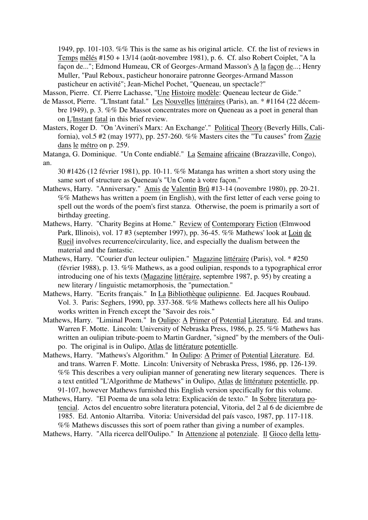1949, pp. 101-103. %% This is the same as his original article. Cf. the list of reviews in Temps mêlés #150 + 13/14 (août-novembre 1981), p. 6. Cf. also Robert Coiplet, "A la façon de..."; Edmond Humeau, CR of Georges-Armand Masson's A la façon de...; Henry Muller, "Paul Reboux, pasticheur honoraire patronne Georges-Armand Masson pasticheur en activité"; Jean-Michel Pochet, "Queneau, un spectacle?"

Masson, Pierre. Cf. Pierre Lachasse, "Une Histoire modèle: Queneau lecteur de Gide."

- de Massot, Pierre. "L'Instant fatal." Les Nouvelles littéraires (Paris), an. \* #1164 (22 décembre 1949), p. 3. %% De Massot concentrates more on Queneau as a poet in general than on L'Instant fatal in this brief review.
- Masters, Roger D. "On 'Avineri's Marx: An Exchange'." Political Theory (Beverly Hills, California), vol.5 #2 (may 1977), pp. 257-260. %% Masters cites the "Tu causes" from Zazie dans le métro on p. 259.
- Matanga, G. Dominique. "Un Conte endiablé." La Semaine africaine (Brazzaville, Congo), an.
	- 30 #1426 (12 février 1981), pp. 10-11. %% Matanga has written a short story using the same sort of structure as Queneau's "Un Conte à votre facon."
- Mathews, Harry. "Anniversary." Amis de Valentin Brû #13-14 (novembre 1980), pp. 20-21. %% Mathews has written a poem (in English), with the first letter of each verse going to spell out the words of the poem's first stanza. Otherwise, the poem is primarily a sort of birthday greeting.
- Mathews, Harry. "Charity Begins at Home." Review of Contemporary Fiction (Elmwood Park, Illinois), vol. 17 #3 (september 1997), pp. 36-45. %% Mathews' look at Loin de Rueil involves recurrence/circularity, lice, and especially the dualism between the material and the fantastic.
- Mathews, Harry. "Courier d'un lecteur oulipien." Magazine littéraire (Paris), vol. \* #250 (février 1988), p. 13. %% Mathews, as a good oulipian, responds to a typographical error introducing one of his texts (Magazine littéraire, septembre 1987, p. 95) by creating a new literary / linguistic metamorphosis, the "pumectation."
- Mathews, Harry. "Ecrits français." In La Bibliothèque oulipienne. Ed. Jacques Roubaud. Vol. 3. Paris: Seghers, 1990, pp. 337-368. %% Mathews collects here all his Oulipo works written in French except the "Savoir des rois."
- Mathews, Harry. "Liminal Poem." In Oulipo: A Primer of Potential Literature. Ed. and trans. Warren F. Motte. Lincoln: University of Nebraska Press, 1986, p. 25. %% Mathews has written an oulipian tribute-poem to Martin Gardner, "signed" by the members of the Oulipo. The original is in Oulipo, Atlas de littérature potentielle.
- Mathews, Harry. "Mathews's Algorithm." In Oulipo: A Primer of Potential Literature. Ed. and trans. Warren F. Motte. Lincoln: University of Nebraska Press, 1986, pp. 126-139. %% This describes a very oulipian manner of generating new literary sequences. There is a text entitled "L'Algorithme de Mathews" in Oulipo, Atlas de littérature potentielle, pp. 91-107, however Mathews furnished this English version specifically for this volume.
- Mathews, Harry. "El Poema de una sola letra: Explicación de texto." In Sobre literatura potencial. Actos del encuentro sobre literatura potencial, Vitoria, del 2 al 6 de diciembre de 1985. Ed. Antonio Altarriba. Vitoria: Universidad del país vasco, 1987, pp. 117-118. %% Mathews discusses this sort of poem rather than giving a number of examples.
- Mathews, Harry. "Alla ricerca dell'Oulipo." In Attenzione al potenziale. Il Gioco della lettu-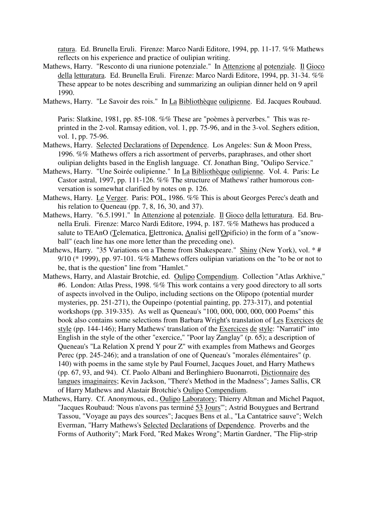ratura. Ed. Brunella Eruli. Firenze: Marco Nardi Editore, 1994, pp. 11-17. %% Mathews reflects on his experience and practice of oulipian writing.

- Mathews, Harry. "Resconto di una riunione potenziale." In Attenzione al potenziale. Il Gioco della letturatura. Ed. Brunella Eruli. Firenze: Marco Nardi Editore, 1994, pp. 31-34. %% These appear to be notes describing and summarizing an oulipian dinner held on 9 april 1990.
- Mathews, Harry. "Le Savoir des rois." In La Bibliothèque oulipienne. Ed. Jacques Roubaud.

Paris: Slatkine, 1981, pp. 85-108. %% These are "poèmes à perverbes." This was reprinted in the 2-vol. Ramsay edition, vol. 1, pp. 75-96, and in the 3-vol. Seghers edition, vol. 1, pp. 75-96.

- Mathews, Harry. Selected Declarations of Dependence. Los Angeles: Sun & Moon Press, 1996. %% Mathews offers a rich assortment of perverbs, paraphrases, and other short oulipian delights based in the English language. Cf. Jonathan Bing, "Oulipo Service."
- Mathews, Harry. "Une Soirée oulipienne." In La Bibliothèque oulipienne. Vol. 4. Paris: Le Castor astral, 1997, pp. 111-126. %% The structure of Mathews' rather humorous conversation is somewhat clarified by notes on p. 126.
- Mathews, Harry. Le Verger. Paris: POL, 1986. %% This is about Georges Perec's death and his relation to Queneau (pp. 7, 8, 16, 30, and 37).
- Mathews, Harry. "6.5.1991." In Attenzione al potenziale. Il Gioco della letturatura. Ed. Brunella Eruli. Firenze: Marco Nardi Editore, 1994, p. 187. %% Mathews has produced a salute to TEAnO (Telematica, Elettronica, Analisi nell'Opificio) in the form of a "snowball" (each line has one more letter than the preceding one).
- Mathews, Harry. "35 Variations on a Theme from Shakespeare." Shiny (New York), vol. \* # 9/10 ( $*$  1999), pp. 97-101. %% Mathews offers oulipian variations on the "to be or not to be, that is the question" line from "Hamlet."
- Mathews, Harry, and Alastair Brotchie, ed. Oulipo Compendium. Collection "Atlas Arkhive," #6. London: Atlas Press, 1998. %% This work contains a very good directory to all sorts of aspects involved in the Oulipo, including sections on the Olipopo (potential murder mysteries, pp. 251-271), the Oupeinpo (potential painting, pp. 273-317), and potential workshops (pp. 319-335). As well as Queneau's "100, 000, 000, 000, 000 Poems" this book also contains some selections from Barbara Wright's translation of Les Exercices de style (pp. 144-146); Harry Mathews' translation of the Exercices de style: "Narratif" into English in the style of the other "exercice," "Poor lay Zanglay" (p. 65); a description of Queneau's "La Relation X prend Y pour Z" with examples from Mathews and Georges Perec (pp. 245-246); and a translation of one of Queneau's "morales élémentaires" (p. 140) with poems in the same style by Paul Fournel, Jacques Jouet, and Harry Mathews (pp. 67, 93, and 94). Cf. Paolo Albani and Berlinghiero Buonarroti, Dictionnaire des langues imaginaires; Kevin Jackson, "There's Method in the Madness"; James Sallis, CR of Harry Mathews and Alastair Brotchie's Oulipo Compendium.
- Mathews, Harry. Cf. Anonymous, ed., Oulipo Laboratory; Thierry Altman and Michel Paquot, "Jacques Roubaud: 'Nous n'avons pas terminé 53 Jours'"; Astrid Bouygues and Bertrand Tassou, "Voyage au pays des sources"; Jacques Bens et al., "La Cantatrice sauve"; Welch Everman, "Harry Mathews's Selected Declarations of Dependence. Proverbs and the Forms of Authority"; Mark Ford, "Red Makes Wrong"; Martin Gardner, "The Flip-strip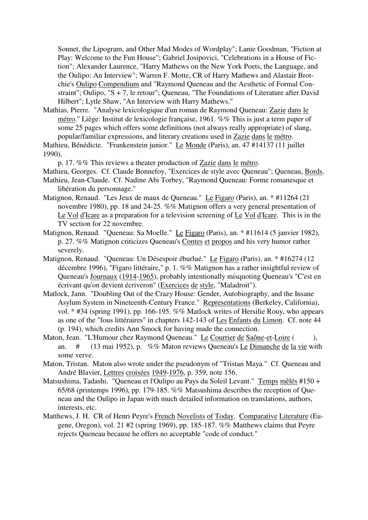Sonnet, the Lipogram, and Other Mad Modes of Wordplay"; Lanie Goodman, "Fiction at Play: Welcome to the Fun House"; Gabriel Josipovici, "Celebrations in a House of Fiction"; Alexander Laurence, "Harry Mathews on the New York Poets, the Language, and the Oulipo: An Interview"; Warren F. Motte, CR of Harry Mathews and Alastair Brotchie's Oulipo Compendium and "Raymond Queneau and the Aesthetic of Formal Constraint"; Oulipo, "S + 7, le retour"; Queneau, "The Foundations of Literature after David Hilbert"; Lytle Shaw, "An Interview with Harry Mathews."

Mathias, Pierre. "Analyse lexicologique d'un roman de Raymond Queneau: Zazie dans le métro." Liège: Institut de lexicologie française, 1961. %% This is just a term paper of some 25 pages which offers some definitions (not always really appropriate) of slang, popular/familiar expressions, and literary creations used in Zazie dans le métro.

Mathieu, Bénédicte. "Frankenstein junior." Le Monde (Paris), an. 47 #14137 (11 juillet 1990),

p. 17. %% This reviews a theater production of Zazie dans le métro.

Mathieu, Georges. Cf. Claude Bonnefoy, "Exercices de style avec Queneau"; Queneau, Bords.

- Mathieu, Jean-Claude. Cf. Nadine Abi Torbey, "Raymond Queneau: Forme romanesque et libération du personnage."
- Matignon, Renaud. "Les Jeux de maux de Queneau." Le Figaro (Paris), an. \* #11264 (21 novembre 1980), pp. 18 and 24-25. %% Matignon offers a very general presentation of Le Vol d'Icare as a preparation for a television screening of Le Vol d'Icare. This is in the TV section for 22 novembre.
- Matignon, Renaud. "Queneau: Sa Moelle." Le Figaro (Paris), an. \* #11614 (5 janvier 1982), p. 27. %% Matignon criticizes Queneau's Contes et propos and his very humor rather severely.
- Matignon, Renaud. "Queneau: Un Désespoir éburlué." Le Figaro (Paris), an. \* #16274 (12 décembre 1996), "Figaro littéraire," p. 1. %% Matignon has a rather insightful review of Queneau's Journaux (1914-1965), probably intentionally misquoting Queneau's "C'est en écrivant qu'on devient écriveron" (Exercices de style, "Maladroit").
- Matlock, Jann. "Doubling Out of the Crazy House: Gender, Autobiography, and the Insane Asylum System in Nineteenth-Century France." Representations (Berkeley, California), vol. \* #34 (spring 1991), pp. 166-195. %% Matlock writes of Hersilie Rouy, who appears as one of the "fous littéraires" in chapters 142-143 of Les Enfants du Limon. Cf. note 44 (p. 194), which credits Ann Smock for having made the connection.
- Maton, Jean. "L'Humour chez Raymond Queneau." Le Courrier de Saône-et-Loire ( ), an. # (13 mai 1952), p. %% Maton reviews Queneau's Le Dimanche de la vie with some verve.
- Maton, Tristan. Maton also wrote under the pseudonym of "Tristan Maya." Cf. Queneau and André Blavier, Lettres croisées 1949-1976, p. 359, note 156.
- Matsushima, Tadashi. "Queneau et l'Oulipo au Pays du Soleil Levant." Temps mêlés #150 + 65/68 (printemps 1996), pp. 179-185. %% Matsushima describes the reception of Queneau and the Oulipo in Japan with much detailed information on translations, authors, interests, etc.
- Matthews, J. H. CR of Henri Peyre's French Novelists of Today. Comparative Literature (Eugene, Oregon), vol. 21 #2 (spring 1969), pp. 185-187. %% Matthews claims that Peyre rejects Queneau because he offers no acceptable "code of conduct."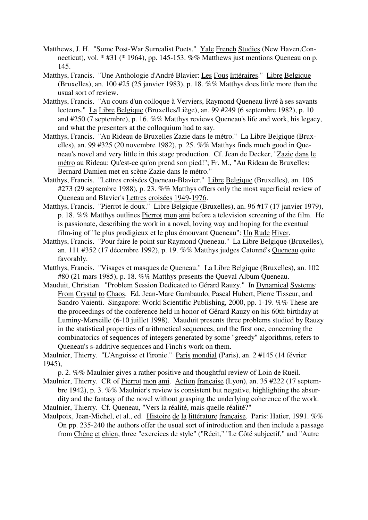- Matthews, J. H. "Some Post-War Surrealist Poets." Yale French Studies (New Haven, Connecticut), vol. \* #31 (\* 1964), pp. 145-153. %% Matthews just mentions Queneau on p. 145.
- Matthys, Francis. "Une Anthologie d'André Blavier: Les Fous littéraires." Libre Belgique (Bruxelles), an. 100 #25 (25 janvier 1983), p. 18. %% Matthys does little more than the usual sort of review.
- Matthys, Francis. "Au cours d'un colloque à Verviers, Raymond Queneau livré à ses savants lecteurs." La Libre Belgique (Bruxelles/Liège), an. 99 #249 (6 septembre 1982), p. 10 and #250 (7 septembre), p. 16. %% Matthys reviews Queneau's life and work, his legacy, and what the presenters at the colloquium had to say.
- Matthys, Francis. "Au Rideau de Bruxelles Zazie dans le métro." La Libre Belgique (Bruxelles), an. 99 #325 (20 novembre 1982), p. 25. %% Matthys finds much good in Queneau's novel and very little in this stage production. Cf. Jean de Decker, "Zazie dans le métro au Rideau: Qu'est-ce qu'on prend son pied!"; Fr. M., "Au Rideau de Bruxelles: Bernard Damien met en scène Zazie dans le métro."
- Matthys, Francis. "Lettres croisées Queneau-Blavier." Libre Belgique (Bruxelles), an. 106 #273 (29 septembre 1988), p. 23. %% Matthys offers only the most superficial review of Queneau and Blavier's Lettres croisées 1949-1976.
- Matthys, Francis. "Pierrot le doux." Libre Belgique (Bruxelles), an. 96 #17 (17 janvier 1979), p. 18. %% Matthys outlines Pierrot mon ami before a television screening of the film. He is passionate, describing the work in a novel, loving way and hoping for the eventual film-ing of "le plus prodigieux et le plus émouvant Queneau": Un Rude Hiver.
- Matthys, Francis. "Pour faire le point sur Raymond Queneau." La Libre Belgique (Bruxelles), an. 111 #352 (17 décembre 1992), p. 19. %% Matthys judges Catonné's Queneau quite favorably.
- Matthys, Francis. "Visages et masques de Queneau." La Libre Belgique (Bruxelles), an. 102 #80 (21 mars 1985), p. 18. %% Matthys presents the Queval Album Queneau.
- Mauduit, Christian. "Problem Session Dedicated to Gérard Rauzy." In Dynamical Systems: From Crystal to Chaos. Ed. Jean-Marc Gambaudo, Pascal Hubert, Pierre Tisseur, and Sandro Vaienti. Singapore: World Scientific Publishing, 2000, pp. 1-19. %% These are the proceedings of the conference held in honor of Gérard Rauzy on his 60th birthday at Luminy-Marseille (6-10 juillet 1998). Mauduit presents three problems studied by Rauzy in the statistical properties of arithmetical sequences, and the first one, concerning the combinatorics of sequences of integers generated by some "greedy" algorithms, refers to Queneau's s-additive sequences and Finch's work on them.

Maulnier, Thierry. "L'Angoisse et l'ironie." Paris mondial (Paris), an. 2 #145 (14 février 1945),

p. 2. %% Maulnier gives a rather positive and thoughtful review of Loin de Rueil.

Maulnier, Thierry. CR of Pierrot mon ami. Action française (Lyon), an. 35 #222 (17 septembre 1942), p. 3. %% Maulnier's review is consistent but negative, highlighting the absurdity and the fantasy of the novel without grasping the underlying coherence of the work.

Maulnier, Thierry. Cf. Queneau, "Vers la réalité, mais quelle réalité?"

Maulpoix, Jean-Michel, et al., ed. Histoire de la littérature française. Paris: Hatier, 1991. %% On pp. 235-240 the authors offer the usual sort of introduction and then include a passage from Chêne et chien, three "exercices de style" ("Récit," "Le Côté subjectif," and "Autre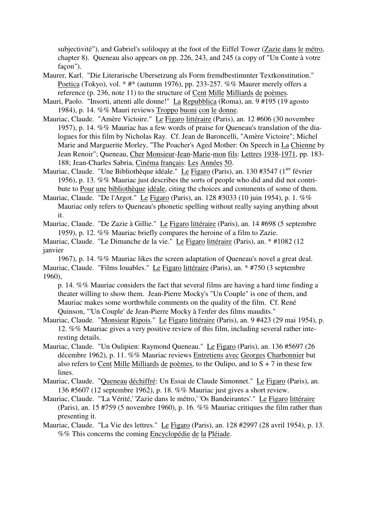subjectivité"), and Gabriel's soliloquy at the foot of the Eiffel Tower (Zazie dans le métro, chapter 8). Queneau also appears on pp. 226, 243, and 245 (a copy of "Un Conte à votre facon").

- Maurer, Karl. "Die Literarische Ubersetzung als Form fremdbestimmter Textkonstitution." Poetica (Tokyo), vol. \* #\* (autumn 1976), pp. 233-257. %% Maurer merely offers a reference (p. 236, note 11) to the structure of Cent Mille Milliards de poèmes.
- Mauri, Paolo. "Insorti, attenti alle donne!" La Repubblica (Roma), an. 9 #195 (19 agosto 1984), p. 14. %% Mauri reviews Troppo buoni con le donne.
- Mauriac, Claude. "Amère Victoire." Le Figaro littéraire (Paris), an. 12 #606 (30 novembre 1957), p. 14. %% Mauriac has a few words of praise for Queneau's translation of the dialogues for this film by Nicholas Ray. Cf. Jean de Baroncelli, "Amère Victoire"; Michel Marie and Marguerite Morley, "The Poacher's Aged Mother: On Speech in La Chienne by Jean Renoir"; Queneau, Cher Monsieur-Jean-Marie-mon fils: Lettres 1938-1971, pp. 183- 188; Jean-Charles Sabria, Cinéma français: Les Années 50.
- Mauriac, Claude. "Une Bibliothèque idéale." Le Figaro (Paris), an. 130 #3547 (1<sup>ier</sup> février 1956), p. 13. %% Mauriac just describes the sorts of people who did and did not contribute to Pour une bibliothèque idéale, citing the choices and comments of some of them.
- Mauriac, Claude. "De l'Argot." Le Figaro (Paris), an. 128 #3033 (10 juin 1954), p. 1. %% Mauriac only refers to Queneau's phonetic spelling without really saying anything about it.
- Mauriac, Claude. "De Zazie à Gillie." Le Figaro littéraire (Paris), an. 14 #698 (5 septembre 1959), p. 12. %% Mauriac briefly compares the heroine of a film to Zazie.
- Mauriac, Claude. "Le Dimanche de la vie." Le Figaro littéraire (Paris), an. \* #1082 (12 janvier

1967), p. 14. %% Mauriac likes the screen adaptation of Queneau's novel a great deal. Mauriac, Claude. "Films louables." Le Figaro littéraire (Paris), an. \* #750 (3 septembre 1960),

p. 14. %% Mauriac considers the fact that several films are having a hard time finding a theater willing to show them. Jean-Pierre Mocky's "Un Couple" is one of them, and Mauriac makes some worthwhile comments on the quality of the film. Cf. René Quinson, "'Un Couple' de Jean-Pierre Mocky à l'enfer des films maudits."

- Mauriac, Claude. "Monsieur Ripois." Le Figaro littéraire (Paris), an. 9 #423 (29 mai 1954), p. 12. %% Mauriac gives a very positive review of this film, including several rather interesting details.
- Mauriac, Claude. "Un Oulipien: Raymond Queneau." Le Figaro (Paris), an. 136 #5697 (26 décembre 1962), p. 11. %% Mauriac reviews Entretiens avec Georges Charbonnier but also refers to Cent Mille Milliards de poèmes, to the Oulipo, and to  $S + 7$  in these few lines.
- Mauriac, Claude. "Queneau déchiffré: Un Essai de Claude Simonnet." Le Figaro (Paris), an. 136 #5607 (12 septembre 1962), p. 18. %% Mauriac just gives a short review.
- Mauriac, Claude. "'La Vérité,' 'Zazie dans le métro,' 'Os Bandeirantes'." Le Figaro littéraire (Paris), an. 15 #759 (5 novembre 1960), p. 16. %% Mauriac critiques the film rather than presenting it.
- Mauriac, Claude. "La Vie des lettres." Le Figaro (Paris), an. 128 #2997 (28 avril 1954), p. 13. %% This concerns the coming Encyclopédie de la Pléiade.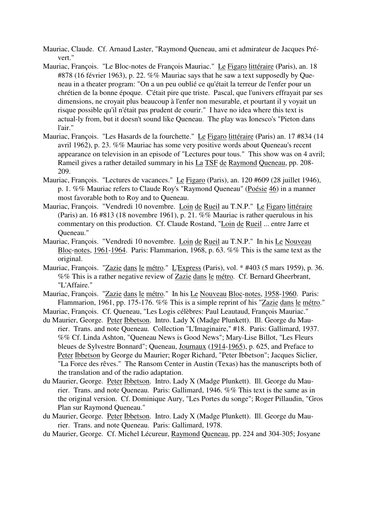Mauriac, Claude. Cf. Arnaud Laster, "Raymond Queneau, ami et admirateur de Jacques Prévert."

- Mauriac, François. "Le Bloc-notes de François Mauriac." Le Figaro littéraire (Paris), an. 18 #878 (16 février 1963), p. 22. %% Mauriac says that he saw a text supposedly by Queneau in a theater program: "On a un peu oublié ce qu'était la terreur de l'enfer pour un chrétien de la bonne époque. C'était pire que triste. Pascal, que l'univers effrayait par ses dimensions, ne croyait plus beaucoup à l'enfer non mesurable, et pourtant il y voyait un risque possible qu'il n'était pas prudent de courir." I have no idea where this text is actual-ly from, but it doesn't sound like Queneau. The play was Ionesco's "Pieton dans l'air."
- Mauriac, François. "Les Hasards de la fourchette." Le Figaro littéraire (Paris) an. 17 #834 (14 avril 1962), p. 23. %% Mauriac has some very positive words about Queneau's recent appearance on television in an episode of "Lectures pour tous." This show was on 4 avril; Rameil gives a rather detailed summary in his La TSF de Raymond Queneau, pp. 208-209.
- Mauriac, François. "Lectures de vacances." Le Figaro (Paris), an. 120 #609 (28 juillet 1946), p. 1. %% Mauriac refers to Claude Roy's "Raymond Queneau" (Poésie 46) in a manner most favorable both to Roy and to Queneau.
- Mauriac, François. "Vendredi 10 novembre. Loin de Rueil au T.N.P." Le Figaro littéraire (Paris) an. 16 #813 (18 novembre 1961), p. 21. %% Mauriac is rather querulous in his commentary on this production. Cf. Claude Rostand, "Loin de Rueil ... entre Jarre et Queneau."
- Mauriac, François. "Vendredi 10 novembre. Loin de Rueil au T.N.P." In his Le Nouveau Bloc-notes, 1961-1964. Paris: Flammarion, 1968, p. 63. %% This is the same text as the original.
- Mauriac, François. "Zazie dans le métro." L'Express (Paris), vol. \* #403 (5 mars 1959), p. 36. %% This is a rather negative review of Zazie dans le métro. Cf. Bernard Gheerbrant, "L'Affaire."
- Mauriac, François. "Zazie dans le métro." In his Le Nouveau Bloc-notes, 1958-1960. Paris: Flammarion, 1961, pp. 175-176. %% This is a simple reprint of his "Zazie dans le métro."

Mauriac, François. Cf. Queneau, "Les Logis célèbres: Paul Leautaud, François Mauriac."

- du Maurier, George. Peter Ibbetson. Intro. Lady X (Madge Plunkett). Ill. George du Maurier. Trans. and note Queneau. Collection "L'Imaginaire," #18. Paris: Gallimard, 1937. %% Cf. Linda Ashton, "Queneau News is Good News"; Mary-Lise Billot, "Les Fleurs bleues de Sylvestre Bonnard"; Queneau, Journaux (1914-1965), p. 625, and Preface to Peter Ibbetson by George du Maurier; Roger Richard, "Peter Ibbetson"; Jacques Siclier, "La Force des rêves." The Ransom Center in Austin (Texas) has the manuscripts both of the translation and of the radio adaptation.
- du Maurier, George. Peter Ibbetson. Intro. Lady X (Madge Plunkett). Ill. George du Maurier. Trans. and note Queneau. Paris: Gallimard, 1946. %% This text is the same as in the original version. Cf. Dominique Aury, "Les Portes du songe"; Roger Pillaudin, "Gros Plan sur Raymond Queneau."
- du Maurier, George. Peter Ibbetson. Intro. Lady X (Madge Plunkett). Ill. George du Maurier. Trans. and note Queneau. Paris: Gallimard, 1978.

du Maurier, George. Cf. Michel Lécureur, Raymond Queneau, pp. 224 and 304-305; Josyane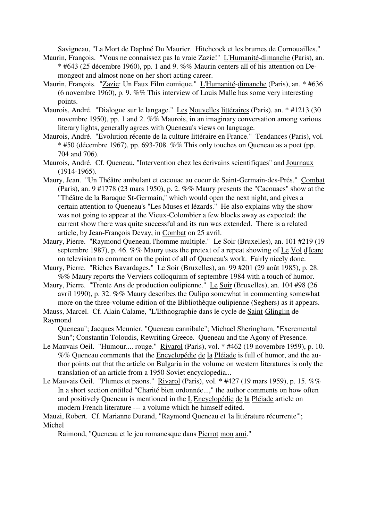Savigneau, "La Mort de Daphné Du Maurier. Hitchcock et les brumes de Cornouailles."

- Maurin, François. "Vous ne connaissez pas la vraie Zazie!" L'Humanité-dimanche (Paris), an.  $*$  #643 (25 décembre 1960), pp. 1 and 9. %% Maurin centers all of his attention on Demongeot and almost none on her short acting career.
- Maurin, François. "Zazie: Un Faux Film comique." L'Humanité-dimanche (Paris), an. \* #636 (6 novembre 1960), p. 9. %% This interview of Louis Malle has some very interesting points.
- Maurois, André. "Dialogue sur le langage." Les Nouvelles littéraires (Paris), an. \* #1213 (30 novembre 1950), pp. 1 and 2. %% Maurois, in an imaginary conversation among various literary lights, generally agrees with Queneau's views on language.
- Maurois, André. "Evolution récente de la culture littéraire en France." Tendances (Paris), vol. \* #50 (décembre 1967), pp. 693-708. %% This only touches on Queneau as a poet (pp. 704 and 706).
- Maurois, André. Cf. Queneau, "Intervention chez les écrivains scientifiques" and Journaux (1914-1965).
- Maury, Jean. "Un Théâtre ambulant et cacouac au coeur de Saint-Germain-des-Prés." Combat (Paris), an. 9 #1778 (23 mars 1950), p. 2. %% Maury presents the "Cacouacs" show at the "Théâtre de la Baraque St-Germain," which would open the next night, and gives a certain attention to Queneau's "Les Muses et lézards." He also explains why the show was not going to appear at the Vieux-Colombier a few blocks away as expected: the current show there was quite successful and its run was extended. There is a related article, by Jean-François Devay, in Combat on 25 avril.
- Maury, Pierre. "Raymond Queneau, l'homme multiple." Le Soir (Bruxelles), an. 101 #219 (19 septembre 1987), p. 46. %% Maury uses the pretext of a repeat showing of Le Vol d'Icare on television to comment on the point of all of Queneau's work. Fairly nicely done.
- Maury, Pierre. "Riches Bavardages." Le Soir (Bruxelles), an. 99 #201 (29 août 1985), p. 28. %% Maury reports the Verviers colloquium of septembre 1984 with a touch of humor.
- Maury, Pierre. "Trente Ans de production oulipienne." Le Soir (Bruxelles), an. 104 #98 (26 avril 1990), p. 32. %% Maury describes the Oulipo somewhat in commenting somewhat more on the three-volume edition of the Bibliothèque oulipienne (Seghers) as it appears.

Mauss, Marcel. Cf. Alain Calame, "L'Ethnographie dans le cycle de Saint-Glinglin de Raymond

Queneau"; Jacques Meunier, "Queneau cannibale"; Michael Sheringham, "Excremental Sun"; Constantin Toloudis, Rewriting Greece. Queneau and the Agony of Presence.

- Le Mauvais Oeil. "Humour.... rouge." Rivarol (Paris), vol. \* #462 (19 novembre 1959), p. 10. %% Queneau comments that the Encyclopédie de la Pléiade is full of humor, and the author points out that the article on Bulgaria in the volume on western literatures is only the translation of an article from a 1950 Soviet encyclopedia...
- Le Mauvais Oeil. "Plumes et paons." Rivarol (Paris), vol. \* #427 (19 mars 1959), p. 15. %% In a short section entitled "Charité bien ordonnée...," the author comments on how often and positively Queneau is mentioned in the L'Encyclopédie de la Pléiade article on modern French literature --- a volume which he himself edited.

Mauzi, Robert. Cf. Marianne Durand, "Raymond Queneau et 'la littérature récurrente'"; Michel

Raimond, "Queneau et le jeu romanesque dans Pierrot mon ami."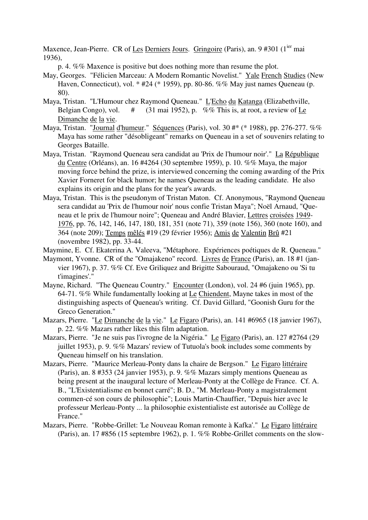Maxence, Jean-Pierre. CR of Les Derniers Jours. Gringoire (Paris), an. 9 #301 (1<sup>ier</sup> mai 1936),

p. 4. %% Maxence is positive but does nothing more than resume the plot.

- May, Georges. "Félicien Marceau: A Modern Romantic Novelist." Yale French Studies (New Haven, Connecticut), vol. \* #24 (\* 1959), pp. 80-86. %% May just names Queneau (p. 80).
- Maya, Tristan. "L'Humour chez Raymond Queneau." L'Echo du Katanga (Elizabethville, Belgian Congo), vol.  $\#$  (31 mai 1952), p. %% This is, at root, a review of Le Dimanche de la vie.
- Maya, Tristan. "Journal d'humeur." Séquences (Paris), vol. 30 #\* (\* 1988), pp. 276-277. %% Maya has some rather "désobligeant" remarks on Queneau in a set of souvenirs relating to Georges Bataille.
- Maya, Tristan. "Raymond Queneau sera candidat au 'Prix de l'humour noir'." La République du Centre (Orléans), an. 16 #4264 (30 septembre 1959), p. 10. %% Maya, the major moving force behind the prize, is interviewed concerning the coming awarding of the Prix Xavier Forneret for black humor; he names Queneau as the leading candidate. He also explains its origin and the plans for the year's awards.
- Maya, Tristan. This is the pseudonym of Tristan Maton. Cf. Anonymous, "Raymond Queneau sera candidat au 'Prix de l'humour noir' nous confie Tristan Maya"; Noël Arnaud, "Queneau et le prix de l'humour noire"; Queneau and André Blavier, Lettres croisées 1949- 1976, pp. 76, 142, 146, 147, 180, 181, 351 (note 71), 359 (note 156), 360 (note 160), and 364 (note 209); Temps mêlés #19 (29 février 1956); Amis de Valentin Brû #21 (novembre 1982), pp. 33-44.
- Maymine, E. Cf. Ekaterina A. Valeeva, "Métaphore. Expériences poétiques de R. Queneau."
- Maymont, Yvonne. CR of the "Omajakeno" record. Livres de France (Paris), an. 18 #1 (janvier 1967), p. 37. %% Cf. Eve Griliquez and Brigitte Sabouraud, "Omajakeno ou 'Si tu t'imagines'."
- Mayne, Richard. "The Queneau Country." Encounter (London), vol. 24 #6 (juin 1965), pp. 64-71. %% While fundamentally looking at Le Chiendent, Mayne takes in most of the distinguishing aspects of Queneau's writing. Cf. David Gillard, "Goonish Guru for the Greco Generation."
- Mazars, Pierre. "Le Dimanche de la vie." Le Figaro (Paris), an. 141 #6965 (18 janvier 1967), p. 22. %% Mazars rather likes this film adaptation.
- Mazars, Pierre. "Je ne suis pas l'ivrogne de la Nigéria." Le Figaro (Paris), an. 127 #2764 (29 juillet 1953), p. 9. %% Mazars' review of Tutuola's book includes some comments by Queneau himself on his translation.
- Mazars, Pierre. "Maurice Merleau-Ponty dans la chaire de Bergson." Le Figaro littéraire (Paris), an. 8 #353 (24 janvier 1953), p. 9. %% Mazars simply mentions Queneau as being present at the inaugural lecture of Merleau-Ponty at the Collège de France. Cf. A. B., "L'Existentialisme en bonnet carré"; B. D., "M. Merleau-Ponty a magistralement commen-cé son cours de philosophie"; Louis Martin-Chauffier, "Depuis hier avec le professeur Merleau-Ponty ... la philosophie existentialiste est autorisée au Collège de France."
- Mazars, Pierre. "Robbe-Grillet: 'Le Nouveau Roman remonte à Kafka'." Le Figaro littéraire (Paris), an. 17 #856 (15 septembre 1962), p. 1. %% Robbe-Grillet comments on the slow-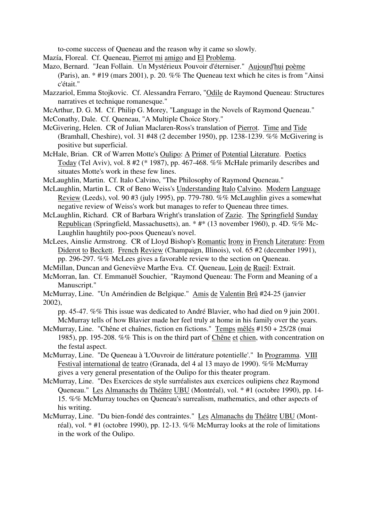to-come success of Queneau and the reason why it came so slowly.

- Mazía, Floreal. Cf. Queneau, Pierrot mi amigo and El Problema.
- Mazo, Bernard. "Jean Follain. Un Mystérieux Pouvoir d'éterniser." Aujourd'hui poème (Paris), an. \* #19 (mars 2001), p. 20. %% The Queneau text which he cites is from "Ainsi c'était."
- Mazzariol, Emma Stojkovic. Cf. Alessandra Ferraro, "Odile de Raymond Queneau: Structures narratives et technique romanesque."
- McArthur, D. G. M. Cf. Philip G. Morey, "Language in the Novels of Raymond Queneau."
- McConathy, Dale. Cf. Queneau, "A Multiple Choice Story."
- McGivering, Helen. CR of Julian Maclaren-Ross's translation of Pierrot. Time and Tide (Bramhall, Cheshire), vol. 31 #48 (2 december 1950), pp. 1238-1239. %% McGivering is positive but superficial.
- McHale, Brian. CR of Warren Motte's Oulipo: A Primer of Potential Literature. Poetics Today (Tel Aviv), vol. 8 #2 (\* 1987), pp. 467-468. %% McHale primarily describes and situates Motte's work in these few lines.
- McLaughlin, Martin. Cf. Italo Calvino, "The Philosophy of Raymond Queneau."
- McLaughlin, Martin L. CR of Beno Weiss's Understanding Italo Calvino. Modern Language Review (Leeds), vol. 90 #3 (july 1995), pp. 779-780. %% McLaughlin gives a somewhat negative review of Weiss's work but manages to refer to Queneau three times.
- McLaughlin, Richard. CR of Barbara Wright's translation of Zazie. The Springfield Sunday Republican (Springfield, Massachusetts), an. \* #\* (13 november 1960), p. 4D. %% Mc-Laughlin haughtily poo-poos Queneau's novel.
- McLees, Ainslie Armstrong. CR of Lloyd Bishop's Romantic Irony in French Literature: From Diderot to Beckett. French Review (Champaign, Illinois), vol. 65 #2 (december 1991), pp. 296-297. %% McLees gives a favorable review to the section on Queneau.
- McMillan, Duncan and Geneviève Marthe Eva. Cf. Queneau, Loin de Rueil: Extrait.
- McMorran, Ian. Cf. Emmanuël Souchier, "Raymond Queneau: The Form and Meaning of a Manuscript."
- McMurray, Line. "Un Amérindien de Belgique." Amis de Valentin Brû #24-25 (janvier 2002),

pp. 45-47. %% This issue was dedicated to André Blavier, who had died on 9 juin 2001. McMurray tells of how Blavier made her feel truly at home in his family over the years.

- McMurray, Line. "Chêne et chaînes, fiction en fictions." Temps mêlés #150 + 25/28 (mai 1985), pp. 195-208. %% This is on the third part of Chêne et chien, with concentration on the festal aspect.
- McMurray, Line. "De Queneau à 'L'Ouvroir de littérature potentielle'." In Programma. VIII Festival international de teatro (Granada, del 4 al 13 mayo de 1990). %% McMurray gives a very general presentation of the Oulipo for this theater program.
- McMurray, Line. "Des Exercices de style surréalistes aux exercices oulipiens chez Raymond Queneau." Les Almanachs du Théâtre UBU (Montréal), vol. \* #1 (octobre 1990), pp. 14- 15. %% McMurray touches on Queneau's surrealism, mathematics, and other aspects of his writing.
- McMurray, Line. "Du bien-fondé des contraintes." Les Almanachs du Théâtre UBU (Montréal), vol. \* #1 (octobre 1990), pp. 12-13. %% McMurray looks at the role of limitations in the work of the Oulipo.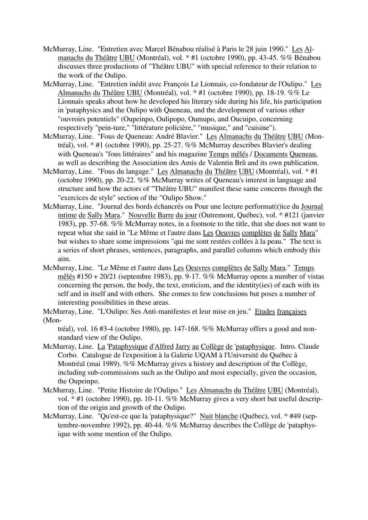- McMurray, Line. "Entretien avec Marcel Bénabou réalisé à Paris le 28 juin 1990." Les Almanachs du Théâtre UBU (Montréal), vol. \* #1 (octobre 1990), pp. 43-45. %% Bénabou discusses three productions of "Théâtre UBU" with special reference to their relation to the work of the Oulipo.
- McMurray, Line. "Entretien inédit avec François Le Lionnais, co-fondateur de l'Oulipo." Les Almanachs du Théâtre UBU (Montréal), vol. \* #1 (octobre 1990), pp. 18-19. %% Le Lionnais speaks about how he developed his literary side during his life, his participation in 'pataphysics and the Oulipo with Queneau, and the development of various other "ouvroirs potentiels" (Oupeinpo, Oulipopo, Oumupo, and Oucuipo, concerning respectively "pein-ture," "littérature policière," "musique," and "cuisine").
- McMurray, Line. "Fous de Queneau: André Blavier." Les Almanachs du Théâtre UBU (Montréal), vol. \* #1 (octobre 1990), pp. 25-27. %% McMurray describes Blavier's dealing with Queneau's "fous littéraires" and his magazine Temps mêlés / Documents Queneau, as well as describing the Association des Amis de Valentin Brû and its own publication.
- McMurray, Line. "Fous du langage." Les Almanachs du Théâtre UBU (Montréal), vol. \* #1 (octobre 1990), pp. 20-22. %% McMurray writes of Queneau's interest in language and structure and how the actors of "Théâtre UBU" manifest these same concerns through the "exercices de style" section of the "Oulipo Show."
- McMurray, Line. "Journal des bords échancrés ou Pour une lecture performat(r)ice du Journal intime de Sally Mara." Nouvelle Barre du jour (Outremont, Québec), vol. \* #121 (janvier 1983), pp. 57-68. %% McMurray notes, in a footnote to the title, that she does not want to repeat what she said in "Le Même et l'autre dans Les Oeuvres complètes de Sally Mara" but wishes to share some impressions "qui me sont restées collées à la peau." The text is a series of short phrases, sentences, paragraphs, and parallel columns which embody this aim.
- McMurray, Line. "Le Même et l'autre dans Les Oeuvres complètes de Sally Mara." Temps mêlés #150 + 20/21 (septembre 1983), pp. 9-17. %% McMurray opens a number of vistas concerning the person, the body, the text, eroticism, and the identity(ies) of each with its self and in itself and with others. She comes to few conclusions but poses a number of interesting possibilities in these areas.
- McMurray, Line. "L'Oulipo: Ses Anti-manifestes et leur mise en jeu." Etudes françaises (Mon-

tréal), vol. 16 #3-4 (octobre 1980), pp. 147-168. %% McMurray offers a good and nonstandard view of the Oulipo.

- McMurray, Line. La 'Pataphysique d'Alfred Jarry au Collège de 'pataphysique. Intro. Claude Corbo. Catalogue de l'exposition à la Galerie UQAM à l'Université du Québec à Montréal (mai 1989). %% McMurray gives a history and description of the Collège, including sub-commissions such as the Oulipo and most especially, given the occasion, the Oupeinpo.
- McMurray, Line. "Petite Histoire de l'Oulipo." Les Almanachs du Théâtre UBU (Montréal), vol. \* #1 (octobre 1990), pp. 10-11. %% McMurray gives a very short but useful description of the origin and growth of the Oulipo.
- McMurray, Line. "Qu'est-ce que la 'pataphysique?" Nuit blanche (Québec), vol. \* #49 (septembre-novembre 1992), pp. 40-44. %% McMurray describes the Collège de 'pataphysique with some mention of the Oulipo.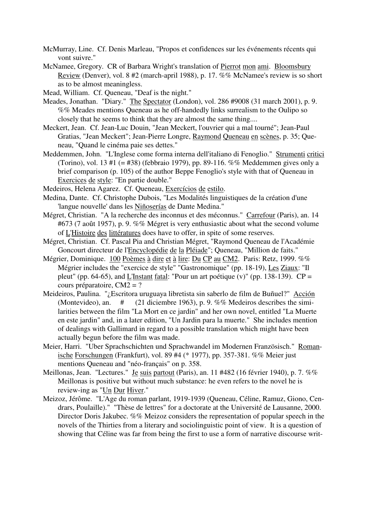- McMurray, Line. Cf. Denis Marleau, "Propos et confidences sur les événements récents qui vont suivre."
- McNamee, Gregory. CR of Barbara Wright's translation of Pierrot mon ami. Bloomsbury Review (Denver), vol. 8 #2 (march-april 1988), p. 17. %% McNamee's review is so short as to be almost meaningless.
- Mead, William. Cf. Queneau, "Deaf is the night."
- Meades, Jonathan. "Diary." The Spectator (London), vol. 286 #9008 (31 march 2001), p. 9. %% Meades mentions Queneau as he off-handedly links surrealism to the Oulipo so closely that he seems to think that they are almost the same thing....
- Meckert, Jean. Cf. Jean-Luc Douin, "Jean Meckert, l'ouvrier qui a mal tourné"; Jean-Paul Gratias, "Jean Meckert"; Jean-Pierre Longre, Raymond Queneau en scènes, p. 35; Queneau, "Quand le cinéma paie ses dettes."
- Meddemmen, John. "L'Inglese come forma interna dell'italiano di Fenoglio." Strumenti critici (Torino), vol. 13 #1 (= #38) (febbraio 1979), pp. 89-116. %% Meddemmen gives only a brief comparison (p. 105) of the author Beppe Fenoglio's style with that of Queneau in Exercices de style: "En partie double."
- Medeiros, Helena Agarez. Cf. Queneau, Exercícios de estilo.
- Medina, Dante. Cf. Christophe Dubois, "Les Modalités linguistiques de la création d'une 'langue nouvelle' dans les Niñoserías de Dante Medina."
- Mégret, Christian. "A la recherche des inconnus et des méconnus." Carrefour (Paris), an. 14 #673 (7 août 1957), p. 9. %% Mégret is very enthusiastic about what the second volume of L'Histoire des littératures does have to offer, in spite of some reserves.
- Mégret, Christian. Cf. Pascal Pia and Christian Mégret, "Raymond Queneau de l'Académie Goncourt directeur de l'Encyclopédie de la Pléiade"; Queneau, "Million de faits."
- Mégrier, Dominique. 100 Poèmes à dire et à lire: Du CP au CM2. Paris: Retz, 1999. %% Mégrier includes the "exercice de style" "Gastronomique" (pp. 18-19), Les Ziaux: "Il pleut" (pp. 64-65), and L'Instant fatal: "Pour un art poétique  $(v)$ " (pp. 138-139).  $CP =$ cours préparatoire, CM2 = ?
- Meideiros, Paulina. "¿Escritora uruguaya libretista sin saberlo de film de Buñuel?" Acción (Montevideo), an. # (21 diciembre 1963), p. 9. %% Medeiros describes the similarities between the film "La Mort en ce jardin" and her own novel, entitled "La Muerte en este jardin" and, in a later edition, "Un Jardin para la muerte." She includes mention of dealings with Gallimard in regard to a possible translation which might have been actually begun before the film was made.
- Meier, Harri. "Uber Sprachschichten und Sprachwandel im Modernen Französisch." Romanische Forschungen (Frankfurt), vol. 89 #4 (\* 1977), pp. 357-381. %% Meier just mentions Queneau and "néo-français" on p. 358.
- Meillonas, Jean. "Lectures." Je suis partout (Paris), an. 11 #482 (16 février 1940), p. 7. %% Meillonas is positive but without much substance: he even refers to the novel he is review-ing as "Un Dur Hiver."
- Meizoz, Jérôme. "L'Age du roman parlant, 1919-1939 (Queneau, Céline, Ramuz, Giono, Cendrars, Poulaille)." "Thèse de lettres" for a doctorate at the Université de Lausanne, 2000. Director Doris Jakubec. %% Meizoz considers the representation of popular speech in the novels of the Thirties from a literary and sociolinguistic point of view. It is a question of showing that Céline was far from being the first to use a form of narrative discourse writ-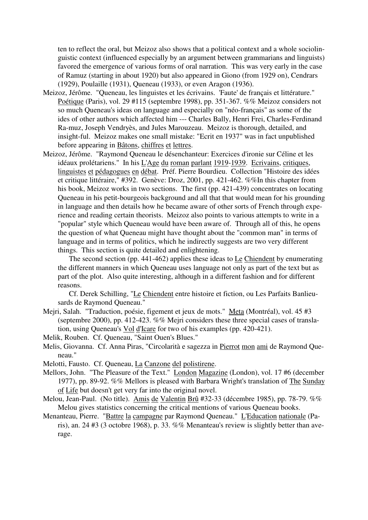ten to reflect the oral, but Meizoz also shows that a political context and a whole sociolinguistic context (influenced especially by an argument between grammarians and linguists) favored the emergence of various forms of oral narration. This was very early in the case of Ramuz (starting in about 1920) but also appeared in Giono (from 1929 on), Cendrars (1929), Poulaille (1931), Queneau (1933), or even Aragon (1936).

- Meizoz, Jérôme. "Queneau, les linguistes et les écrivains. 'Faute' de français et littérature." Poétique (Paris), vol. 29 #115 (septembre 1998), pp. 351-367. %% Meizoz considers not so much Queneau's ideas on language and especially on "néo-français" as some of the ides of other authors which affected him --- Charles Bally, Henri Frei, Charles-Ferdinand Ra-muz, Joseph Vendryès, and Jules Marouzeau. Meizoz is thorough, detailed, and insight-ful. Meizoz makes one small mistake: "Ecrit en 1937" was in fact unpublished before appearing in Bâtons, chiffres et lettres.
- Meizoz, Jérôme. "Raymond Queneau le désenchanteur: Exercices d'ironie sur Céline et les idéaux prolétariens." In his L'Age du roman parlant 1919-1939. Ecrivains, critiques, linguistes et pédagogues en débat. Préf. Pierre Bourdieu. Collection "Histoire des idées et critique littéraire," #392. Genève: Droz, 2001, pp. 421-462. %%In this chapter from his book, Meizoz works in two sections. The first (pp. 421-439) concentrates on locating Queneau in his petit-bourgeois background and all that that would mean for his grounding in language and then details how he became aware of other sorts of French through experience and reading certain theorists. Meizoz also points to various attempts to write in a "popular" style which Queneau would have been aware of. Through all of this, he opens the question of what Queneau might have thought about the "common man" in terms of language and in terms of politics, which he indirectly suggests are two very different things. This section is quite detailed and enlightening.

 The second section (pp. 441-462) applies these ideas to Le Chiendent by enumerating the different manners in which Queneau uses language not only as part of the text but as part of the plot. Also quite interesting, although in a different fashion and for different reasons.

 Cf. Derek Schilling, "Le Chiendent entre histoire et fiction, ou Les Parfaits Banlieusards de Raymond Queneau."

- Mejri, Salah. "Traduction, poésie, figement et jeux de mots." Meta (Montréal), vol. 45 #3 (septembre 2000), pp. 412-423. %% Mejri considers these three special cases of translation, using Queneau's Vol d'Icare for two of his examples (pp. 420-421).
- Melik, Rouben. Cf. Queneau, "Saint Ouen's Blues."
- Melis, Giovanna. Cf. Anna Piras, "Circolarità e sagezza in Pierrot mon ami de Raymond Queneau."
- Melotti, Fausto. Cf. Queneau, La Canzone del polistirene.
- Mellors, John. "The Pleasure of the Text." London Magazine (London), vol. 17 #6 (december 1977), pp. 89-92. %% Mellors is pleased with Barbara Wright's translation of The Sunday of Life but doesn't get very far into the original novel.
- Melou, Jean-Paul. (No title). Amis de Valentin Brû #32-33 (décembre 1985), pp. 78-79. %% Melou gives statistics concerning the critical mentions of various Queneau books.
- Menanteau, Pierre. "Battre la campagne par Raymond Queneau." L'Education nationale (Paris), an. 24 #3 (3 octobre 1968), p. 33. %% Menanteau's review is slightly better than average.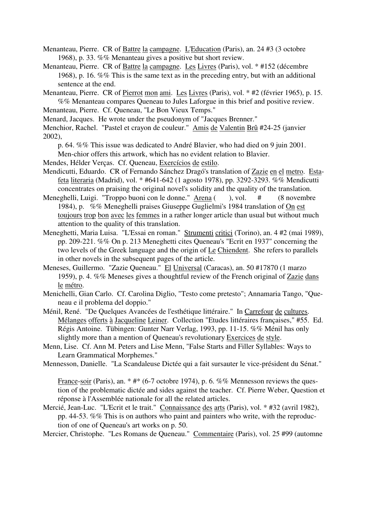Menanteau, Pierre. CR of Battre la campagne. L'Education (Paris), an. 24 #3 (3 octobre 1968), p. 33. %% Menanteau gives a positive but short review.

- Menanteau, Pierre. CR of Battre la campagne. Les Livres (Paris), vol. \* #152 (décembre 1968), p. 16. %% This is the same text as in the preceding entry, but with an additional sentence at the end.
- Menanteau, Pierre. CR of Pierrot mon ami. Les Livres (Paris), vol. \* #2 (février 1965), p. 15. %% Menanteau compares Queneau to Jules Laforgue in this brief and positive review.
- Menanteau, Pierre. Cf. Queneau, "Le Bon Vieux Temps."
- Menard, Jacques. He wrote under the pseudonym of "Jacques Brenner."

Menchior, Rachel. "Pastel et crayon de couleur." Amis de Valentin Brû #24-25 (janvier 2002),

p. 64. %% This issue was dedicated to André Blavier, who had died on 9 juin 2001.

Men-chior offers this artwork, which has no evident relation to Blavier.

Mendes, Hélder Verças. Cf. Queneau, Exercícios de estilo.

- Mendicutti, Eduardo. CR of Fernando Sánchez Dragó's translation of Zazie en el metro. Estafeta literaria (Madrid), vol. \* #641-642 (1 agosto 1978), pp. 3292-3293. %% Mendicutti concentrates on praising the original novel's solidity and the quality of the translation.
- Meneghelli, Luigi. "Troppo buoni con le donne." Arena ( ), vol. # (8 novembre 1984), p. %% Meneghelli praises Giuseppe Guglielmi's 1984 translation of On est toujours trop bon avec les femmes in a rather longer article than usual but without much attention to the quality of this translation.
- Meneghetti, Maria Luisa. "L'Essai en roman." Strumenti critici (Torino), an. 4 #2 (mai 1989), pp. 209-221. %% On p. 213 Meneghetti cites Queneau's "Ecrit en 1937" concerning the two levels of the Greek language and the origin of Le Chiendent. She refers to parallels in other novels in the subsequent pages of the article.
- Meneses, Guillermo. "Zazie Queneau." El Universal (Caracas), an. 50 #17870 (1 marzo 1959), p. 4. %% Meneses gives a thoughtful review of the French original of Zazie dans le métro.
- Menichelli, Gian Carlo. Cf. Carolina Diglio, "Testo come pretesto"; Annamaria Tango, "Queneau e il problema del doppio."
- Ménil, René. "De Quelques Avancées de l'esthétique littéraire." In Carrefour de cultures. Mélanges offerts à Jacqueline Leiner. Collection "Etudes littéraires françaises," #55. Ed. Régis Antoine. Tübingen: Gunter Narr Verlag, 1993, pp. 11-15. %% Ménil has only slightly more than a mention of Queneau's revolutionary Exercices de style.
- Menn, Lise. Cf. Ann M. Peters and Lise Menn, "False Starts and Filler Syllables: Ways to Learn Grammatical Morphemes."
- Mennesson, Danielle. "La Scandaleuse Dictée qui a fait sursauter le vice-président du Sénat."

France-soir (Paris), an. \* #\* (6-7 octobre 1974), p. 6. %% Mennesson reviews the question of the problematic dictée and sides against the teacher. Cf. Pierre Weber, Question et réponse à l'Assemblée nationale for all the related articles.

Mercié, Jean-Luc. "L'Ecrit et le trait." Connaissance des arts (Paris), vol. \* #32 (avril 1982), pp. 44-53. %% This is on authors who paint and painters who write, with the reproduction of one of Queneau's art works on p. 50.

Mercier, Christophe. "Les Romans de Queneau." Commentaire (Paris), vol. 25 #99 (automne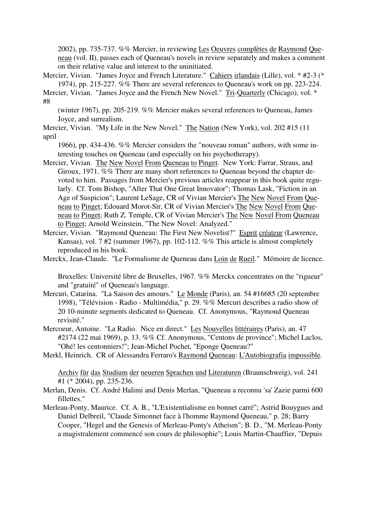2002), pp. 735-737. %% Mercier, in reviewing Les Oeuvres complètes de Raymond Queneau (vol. II), passes each of Queneau's novels in review separately and makes a comment on their relative value and interest to the uninitiated.

Mercier, Vivian. "James Joyce and French Literature." Cahiers irlandais (Lille), vol. \* #2-3 (\* 1974), pp. 215-227. %% There are several references to Queneau's work on pp. 223-224.

Mercier, Vivian. "James Joyce and the French New Novel." Tri-Quarterly (Chicago), vol. \* #8

(winter 1967), pp. 205-219. %% Mercier makes several references to Queneau, James Joyce, and surrealism.

Mercier, Vivian. "My Life in the New Novel." The Nation (New York), vol. 202 #15 (11 april

1966), pp. 434-436. %% Mercier considers the "nouveau roman" authors, with some interesting touches on Queneau (and especially on his psychotherapy).

Mercier, Vivian. The New Novel From Queneau to Pinget. New York: Farrar, Straus, and Giroux, 1971. %% There are many short references to Queneau beyond the chapter devoted to him. Passages from Mercier's previous articles reappear in this book quite regularly. Cf. Tom Bishop, "After That One Great Innovator"; Thomas Lask, "Fiction in an Age of Suspicion"; Laurent LeSage, CR of Vivian Mercier's The New Novel From Queneau to Pinget; Edouard Morot-Sir, CR of Vivian Mercier's The New Novel From Queneau to Pinget; Ruth Z. Temple, CR of Vivian Mercier's The New Novel From Queneau to Pinget; Arnold Weinstein, "The New Novel: Analyzed."

Mercier, Vivian. "Raymond Queneau: The First New Novelist?" Esprit créateur (Lawrence, Kansas), vol. 7 #2 (summer 1967), pp. 102-112. %% This article is almost completely reproduced in his book.

Merckx, Jean-Claude. "Le Formalisme de Queneau dans Loin de Rueil." Mémoire de licence.

Bruxelles: Université libre de Bruxelles, 1967. %% Merckx concentrates on the "rigueur" and "gratuité" of Queneau's language.

- Mercuri, Catarina. "La Saison des amours." Le Monde (Paris), an. 54 #16685 (20 septembre 1998), "Télévision - Radio - Multimédia," p. 29. %% Mercuri describes a radio show of 20 10-minute segments dedicated to Queneau. Cf. Anonymous, "Raymond Queneau revisité."
- Mercoeur, Antoine. "La Radio. Nice en direct." Les Nouvelles littéraires (Paris), an. 47 #2174 (22 mai 1969), p. 13. %% Cf. Anonymous, "Centons de province"; Michel Laclos, "Ohé! les centonniers!"; Jean-Michel Pochet, "Eponge Queneau?"
- Merkl, Heinrich. CR of Alessandra Ferraro's Raymond Queneau: L'Autobiografia impossible.

Archiv für das Studium der neueren Sprachen und Literaturen (Braunschweig), vol. 241 #1 (\* 2004), pp. 235-236.

- Merlan, Denis. Cf. André Halimi and Denis Merlan, "Queneau a reconnu 'sa' Zazie parmi 600 fillettes."
- Merleau-Ponty, Maurice. Cf. A. B., "L'Existentialisme en bonnet carré"; Astrid Bouygues and Daniel Delbreil, "Claude Simonnet face à l'homme Raymond Queneau," p. 28; Barry Cooper, "Hegel and the Genesis of Merleau-Ponty's Atheism"; B. D., "M. Merleau-Ponty a magistralement commencé son cours de philosophie"; Louis Martin-Chauffier, "Depuis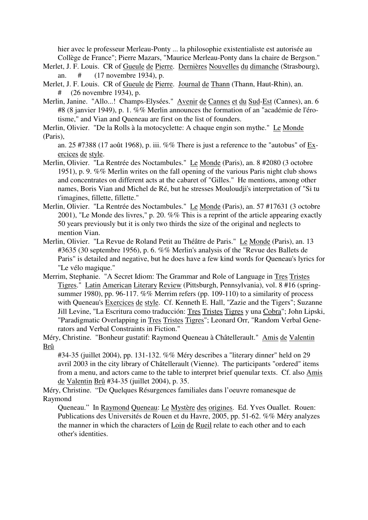hier avec le professeur Merleau-Ponty ... la philosophie existentialiste est autorisée au Collège de France"; Pierre Mazars, "Maurice Merleau-Ponty dans la chaire de Bergson."

- Merlet, J. F. Louis. CR of Gueule de Pierre. Dernières Nouvelles du dimanche (Strasbourg), an. # (17 novembre 1934), p.
- Merlet, J. F. Louis. CR of Gueule de Pierre. Journal de Thann (Thann, Haut-Rhin), an. # (26 novembre 1934), p.
- Merlin, Janine. "Allo...! Champs-Elysées." Avenir de Cannes et du Sud-Est (Cannes), an. 6 #8 (8 janvier 1949), p. 1. %% Merlin announces the formation of an "académie de l'érotisme," and Vian and Queneau are first on the list of founders.
- Merlin, Olivier. "De la Rolls à la motocyclette: A chaque engin son mythe." Le Monde (Paris),

an. 25 #7388 (17 août 1968), p. iii. %% There is just a reference to the "autobus" of Exercices de style.

- Merlin, Olivier. "La Rentrée des Noctambules." Le Monde (Paris), an. 8 #2080 (3 octobre 1951), p. 9. %% Merlin writes on the fall opening of the various Paris night club shows and concentrates on different acts at the cabaret of "Gilles." He mentions, among other names, Boris Vian and Michel de Ré, but he stresses Mouloudji's interpretation of "Si tu t'imagines, fillette, fillette."
- Merlin, Olivier. "La Rentrée des Noctambules." Le Monde (Paris), an. 57 #17631 (3 octobre 2001), "Le Monde des livres," p. 20. %% This is a reprint of the article appearing exactly 50 years previously but it is only two thirds the size of the original and neglects to mention Vian.
- Merlin, Olivier. "La Revue de Roland Petit au Théâtre de Paris." Le Monde (Paris), an. 13 #3635 (30 septembre 1956), p. 6. %% Merlin's analysis of the "Revue des Ballets de Paris" is detailed and negative, but he does have a few kind words for Queneau's lyrics for "Le vélo magique."
- Merrim, Stephanie. "A Secret Idiom: The Grammar and Role of Language in Tres Tristes Tigres." Latin American Literary Review (Pittsburgh, Pennsylvania), vol. 8 #16 (springsummer 1980), pp. 96-117. %% Merrim refers (pp. 109-110) to a similarity of process with Queneau's Exercices de style. Cf. Kenneth E. Hall, "Zazie and the Tigers"; Suzanne Jill Levine, "La Escritura como traducción: Tres Tristes Tigres y una Cobra"; John Lipski, "Paradigmatic Overlapping in Tres Tristes Tigres"; Leonard Orr, "Random Verbal Generators and Verbal Constraints in Fiction."
- Méry, Christine. "Bonheur gustatif: Raymond Queneau à Châtellerault." Amis de Valentin Brû

#34-35 (juillet 2004), pp. 131-132. %% Méry describes a "literary dinner" held on 29 avril 2003 in the city library of Châtellerault (Vienne). The participants "ordered" items from a menu, and actors came to the table to interpret brief quenular texts. Cf. also Amis de Valentin Brû #34-35 (juillet 2004), p. 35.

Méry, Christine. "De Quelques Résurgences familiales dans l'oeuvre romanesque de Raymond

Queneau." In Raymond Queneau: Le Mystère des origines. Ed. Yves Ouallet. Rouen: Publications des Universités de Rouen et du Havre, 2005, pp. 51-62. %% Méry analyzes the manner in which the characters of Loin de Rueil relate to each other and to each other's identities.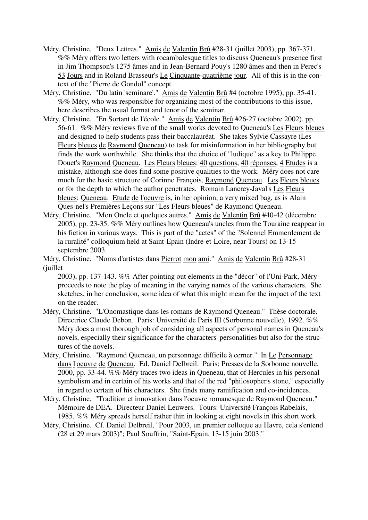- Méry, Christine. "Deux Lettres." Amis de Valentin Brû #28-31 (juillet 2003), pp. 367-371. %% Méry offers two letters with rocambalesque titles to discuss Queneau's presence first in Jim Thompson's 1275 âmes and in Jean-Bernard Pouy's 1280 âmes and then in Perec's 53 Jours and in Roland Brasseur's Le Cinquante-quatrième jour. All of this is in the context of the "Pierre de Gondol" concept.
- Méry, Christine. "Du latin 'seminare'." Amis de Valentin Brû #4 (octobre 1995), pp. 35-41. %% Méry, who was responsible for organizing most of the contributions to this issue, here describes the usual format and tenor of the seminar.
- Méry, Christine. "En Sortant de l'école." Amis de Valentin Brû #26-27 (octobre 2002), pp. 56-61. %% Méry reviews five of the small works devoted to Queneau's Les Fleurs bleues and designed to help students pass their baccalauréat. She takes Sylvie Cassayre (Les Fleurs bleues de Raymond Queneau) to task for misinformation in her bibliography but finds the work worthwhile. She thinks that the choice of "ludique" as a key to Philippe Douet's Raymond Queneau. Les Fleurs bleues: 40 questions, 40 réponses, 4 Etudes is a mistake, although she does find some positive qualities to the work. Méry does not care much for the basic structure of Corinne François, Raymond Queneau. Les Fleurs bleues or for the depth to which the author penetrates. Romain Lancrey-Javal's Les Fleurs bleues: Queneau. Etude de l'oeuvre is, in her opinion, a very mixed bag, as is Alain Ques-nel's Premières Leçons sur "Les Fleurs bleues" de Raymond Queneau.
- Méry, Christine. "Mon Oncle et quelques autres." Amis de Valentin Brû #40-42 (décembre 2005), pp. 23-35. %% Méry outlines how Queneau's uncles from the Touraine reappear in his fiction in various ways. This is part of the "actes" of the "Solennel Emmerdement de la ruralité" colloquium held at Saint-Epain (Indre-et-Loire, near Tours) on 13-15 septembre 2003.

Méry, Christine. "Noms d'artistes dans Pierrot mon ami." Amis de Valentin Brû #28-31 (juillet

2003), pp. 137-143. %% After pointing out elements in the "décor" of l'Uni-Park, Méry proceeds to note the play of meaning in the varying names of the various characters. She sketches, in her conclusion, some idea of what this might mean for the impact of the text on the reader.

- Méry, Christine. "L'Onomastique dans les romans de Raymond Queneau." Thèse doctorale. Directrice Claude Debon. Paris: Université de Paris III (Sorbonne nouvelle), 1992. %% Méry does a most thorough job of considering all aspects of personal names in Queneau's novels, especially their significance for the characters' personalities but also for the structures of the novels.
- Méry, Christine. "Raymond Queneau, un personnage difficile à cerner." In Le Personnage dans l'oeuvre de Queneau. Ed. Daniel Delbreil. Paris: Presses de la Sorbonne nouvelle, 2000, pp. 33-44. %% Méry traces two ideas in Queneau, that of Hercules in his personal symbolism and in certain of his works and that of the red "philosopher's stone," especially in regard to certain of his characters. She finds many ramification and co-incidences.
- Méry, Christine. "Tradition et innovation dans l'oeuvre romanesque de Raymond Queneau." Mémoire de DEA. Directeur Daniel Leuwers. Tours: Université François Rabelais, 1985. %% Méry spreads herself rather thin in looking at eight novels in this short work.
- Méry, Christine. Cf. Daniel Delbreil, "Pour 2003, un premier colloque au Havre, cela s'entend (28 et 29 mars 2003)"; Paul Souffrin, "Saint-Epain, 13-15 juin 2003."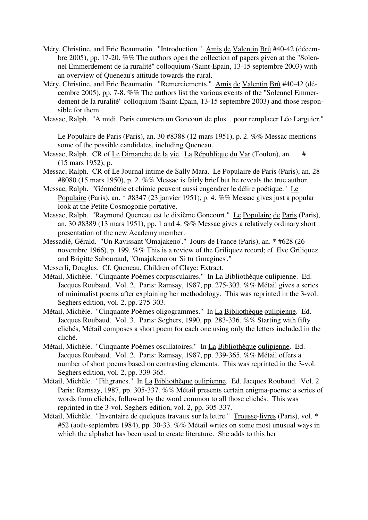- Méry, Christine, and Eric Beaumatin. "Introduction." Amis de Valentin Brû #40-42 (décembre 2005), pp. 17-20. %% The authors open the collection of papers given at the "Solennel Emmerdement de la ruralité" colloquium (Saint-Epain, 13-15 septembre 2003) with an overview of Queneau's attitude towards the rural.
- Méry, Christine, and Eric Beaumatin. "Remerciements." Amis de Valentin Brû #40-42 (décembre 2005), pp. 7-8. %% The authors list the various events of the "Solennel Emmerdement de la ruralité" colloquium (Saint-Epain, 13-15 septembre 2003) and those responsible for them.
- Messac, Ralph. "A midi, Paris comptera un Goncourt de plus... pour remplacer Léo Larguier."

Le Populaire de Paris (Paris), an. 30 #8388 (12 mars 1951), p. 2. %% Messac mentions some of the possible candidates, including Queneau.

- Messac, Ralph. CR of Le Dimanche de la vie. La République du Var (Toulon), an. # (15 mars 1952), p.
- Messac, Ralph. CR of Le Journal intime de Sally Mara. Le Populaire de Paris (Paris), an. 28 #8080 (15 mars 1950), p. 2. %% Messac is fairly brief but he reveals the true author.
- Messac, Ralph. "Géométrie et chimie peuvent aussi engendrer le délire poétique." Le Populaire (Paris), an. \* #8347 (23 janvier 1951), p. 4. %% Messac gives just a popular look at the Petite Cosmogonie portative.
- Messac, Ralph. "Raymond Queneau est le dixième Goncourt." Le Populaire de Paris (Paris), an. 30 #8389 (13 mars 1951), pp. 1 and 4. %% Messac gives a relatively ordinary short presentation of the new Academy member.
- Messadié, Gérald. "Un Ravissant 'Omajakeno'." Jours de France (Paris), an. \* #628 (26 novembre 1966), p. 199. %% This is a review of the Griliquez record; cf. Eve Griliquez and Brigitte Sabouraud, "Omajakeno ou 'Si tu t'imagines'."
- Messerli, Douglas. Cf. Queneau, Children of Claye: Extract.
- Métail, Michèle. "Cinquante Poèmes corpusculaires." In La Bibliothèque oulipienne. Ed. Jacques Roubaud. Vol. 2. Paris: Ramsay, 1987, pp. 275-303. %% Métail gives a series of minimalist poems after explaining her methodology. This was reprinted in the 3-vol. Seghers edition, vol. 2, pp. 275-303.
- Métail, Michèle. "Cinquante Poèmes oligogrammes." In La Bibliothèque oulipienne. Ed. Jacques Roubaud. Vol. 3. Paris: Seghers, 1990, pp. 283-336. %% Starting with fifty clichés, Métail composes a short poem for each one using only the letters included in the cliché.
- Métail, Michèle. "Cinquante Poèmes oscillatoires." In La Bibliothèque oulipienne. Ed. Jacques Roubaud. Vol. 2. Paris: Ramsay, 1987, pp. 339-365. %% Métail offers a number of short poems based on contrasting elements. This was reprinted in the 3-vol. Seghers edition, vol. 2, pp. 339-365.
- Métail, Michèle. "Filigranes." In La Bibliothèque oulipienne. Ed. Jacques Roubaud. Vol. 2. Paris: Ramsay, 1987, pp. 305-337. %% Métail presents certain enigma-poems: a series of words from clichés, followed by the word common to all those clichés. This was reprinted in the 3-vol. Seghers edition, vol. 2, pp. 305-337.
- Métail, Michèle. "Inventaire de quelques travaux sur la lettre." Trousse-livres (Paris), vol. \* #52 (août-septembre 1984), pp. 30-33. %% Métail writes on some most unusual ways in which the alphabet has been used to create literature. She adds to this her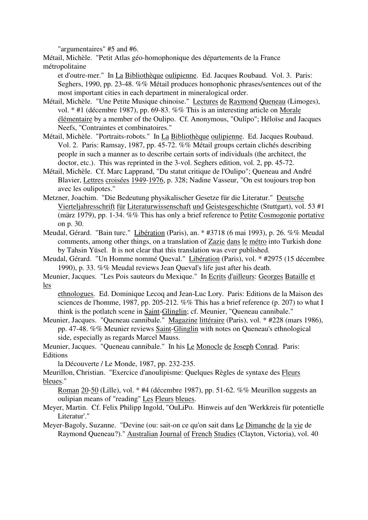"argumentaires" #5 and #6.

Métail, Michèle. "Petit Atlas géo-homophonique des départements de la France métropolitaine

et d'outre-mer." In La Bibliothèque oulipienne. Ed. Jacques Roubaud. Vol. 3. Paris: Seghers, 1990, pp. 23-48. %% Métail produces homophonic phrases/sentences out of the most important cities in each department in mineralogical order.

- Métail, Michèle. "Une Petite Musique chinoise." Lectures de Raymond Queneau (Limoges), vol. \* #1 (décembre 1987), pp. 69-83. %% This is an interesting article on Morale élémentaire by a member of the Oulipo. Cf. Anonymous, "Oulipo"; Héloïse and Jacques Neefs, "Contraintes et combinatoires."
- Métail, Michèle. "Portraits-robots." In La Bibliothèque oulipienne. Ed. Jacques Roubaud. Vol. 2. Paris: Ramsay, 1987, pp. 45-72. %% Métail groups certain clichés describing people in such a manner as to describe certain sorts of individuals (the architect, the doctor, etc.). This was reprinted in the 3-vol. Seghers edition, vol. 2, pp. 45-72.
- Métail, Michèle. Cf. Marc Lapprand, "Du statut critique de l'Oulipo"; Queneau and André Blavier, Lettres croisées 1949-1976, p. 328; Nadine Vasseur, "On est toujours trop bon avec les oulipotes."
- Metzner, Joachim. "Die Bedeutung physikalischer Gesetze für die Literatur." Deutsche Vierteljahresschrift für Literaturwissenschaft und Geistesgeschichte (Stuttgart), vol. 53 #1 (märz 1979), pp. 1-34. %% This has only a brief reference to Petite Cosmogonie portative on p. 30.
- Meudal, Gérard. "Bain turc." Libération (Paris), an. \* #3718 (6 mai 1993), p. 26. %% Meudal comments, among other things, on a translation of Zazie dans le métro into Turkish done by Tahsin Yüsel. It is not clear that this translation was ever published.
- Meudal, Gérard. "Un Homme nommé Queval." Libération (Paris), vol. \* #2975 (15 décembre 1990), p. 33. %% Meudal reviews Jean Queval's life just after his death.
- Meunier, Jacques. "Les Pois sauteurs du Mexique." In Ecrits d'ailleurs: Georges Bataille et les

ethnologues. Ed. Dominique Lecoq and Jean-Luc Lory. Paris: Editions de la Maison des sciences de l'homme, 1987, pp. 205-212. %% This has a brief reference (p. 207) to what I think is the potlatch scene in Saint-Glinglin; cf. Meunier, "Queneau cannibale."

Meunier, Jacques. "Queneau cannibale." Magazine littéraire (Paris), vol. \* #228 (mars 1986), pp. 47-48. %% Meunier reviews Saint-Glinglin with notes on Queneau's ethnological side, especially as regards Marcel Mauss.

Meunier, Jacques. "Queneau cannibale." In his Le Monocle de Joseph Conrad. Paris: Editions

la Découverte / Le Monde, 1987, pp. 232-235.

Meurillon, Christian. "Exercice d'anoulipisme: Quelques Règles de syntaxe des Fleurs bleues."

Roman 20-50 (Lille), vol. \* #4 (décembre 1987), pp. 51-62. %% Meurillon suggests an oulipian means of "reading" Les Fleurs bleues.

- Meyer, Martin. Cf. Felix Philipp Ingold, "OuLiPo. Hinweis auf den 'Werkkreis für potentielle Literatur'."
- Meyer-Bagoly, Suzanne. "Devine (ou: sait-on ce qu'on sait dans Le Dimanche de la vie de Raymond Queneau?)." Australian Journal of French Studies (Clayton, Victoria), vol. 40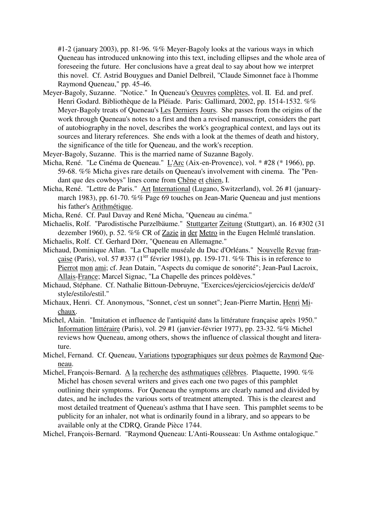#1-2 (january 2003), pp. 81-96. %% Meyer-Bagoly looks at the various ways in which Queneau has introduced unknowing into this text, including ellipses and the whole area of foreseeing the future. Her conclusions have a great deal to say about how we interpret this novel. Cf. Astrid Bouygues and Daniel Delbreil, "Claude Simonnet face à l'homme Raymond Queneau," pp. 45-46.

- Meyer-Bagoly, Suzanne. "Notice." In Queneau's Oeuvres complètes, vol. II. Ed. and pref. Henri Godard. Bibliothèque de la Pléiade. Paris: Gallimard, 2002, pp. 1514-1532. %% Meyer-Bagoly treats of Queneau's Les Derniers Jours. She passes from the origins of the work through Queneau's notes to a first and then a revised manuscript, considers the part of autobiography in the novel, describes the work's geographical context, and lays out its sources and literary references. She ends with a look at the themes of death and history, the significance of the title for Queneau, and the work's reception.
- Meyer-Bagoly, Suzanne. This is the married name of Suzanne Bagoly.
- Micha, René. "Le Cinéma de Queneau." L'Arc (Aix-en-Provence), vol. \* #28 (\* 1966), pp. 59-68. %% Micha gives rare details on Queneau's involvement with cinema. The "Pendant que des cowboys" lines come from Chêne et chien, I.
- Micha, René. "Lettre de Paris." Art International (Lugano, Switzerland), vol. 26 #1 (januarymarch 1983), pp. 61-70. %% Page 69 touches on Jean-Marie Queneau and just mentions his father's Arithmétique.
- Micha, René. Cf. Paul Davay and René Micha, "Queneau au cinéma."
- Michaelis, Rolf. "Parodistische Purzelbäume." Stuttgarter Zeitung (Stuttgart), an. 16 #302 (31 dezember 1960), p. 52. %% CR of Zazie in der Metro in the Eugen Helmlé translation.
- Michaelis, Rolf. Cf. Gerhard Dörr, "Queneau en Allemagne."
- Michaud, Dominique Allan. "La Chapelle muséale du Duc d'Orléans." Nouvelle Revue francaise (Paris), vol. 57 #337 ( $1^{jet}$  février 1981), pp. 159-171. %% This is in reference to Pierrot mon ami; cf. Jean Datain, "Aspects du comique de sonorité"; Jean-Paul Lacroix, Allais-France; Marcel Signac, "La Chapelle des princes poldèves."
- Michaud, Stéphane. Cf. Nathalie Bittoun-Debruyne, "Exercices/ejercicios/ejercicis de/de/d' style/estilo/estil."
- Michaux, Henri. Cf. Anonymous, "Sonnet, c'est un sonnet"; Jean-Pierre Martin, Henri Michaux.
- Michel, Alain. "Imitation et influence de l'antiquité dans la littérature française après 1950." Information littéraire (Paris), vol. 29 #1 (janvier-février 1977), pp. 23-32. %% Michel reviews how Queneau, among others, shows the influence of classical thought and literature.
- Michel, Fernand. Cf. Queneau, Variations typographiques sur deux poèmes de Raymond Queneau.
- Michel, François-Bernard. A la recherche des asthmatiques célèbres. Plaquette, 1990. %% Michel has chosen several writers and gives each one two pages of this pamphlet outlining their symptoms. For Queneau the symptoms are clearly named and divided by dates, and he includes the various sorts of treatment attempted. This is the clearest and most detailed treatment of Queneau's asthma that I have seen. This pamphlet seems to be publicity for an inhaler, not what is ordinarily found in a library, and so appears to be available only at the CDRQ, Grande Pièce 1744.

Michel, François-Bernard. "Raymond Queneau: L'Anti-Rousseau: Un Asthme ontalogique."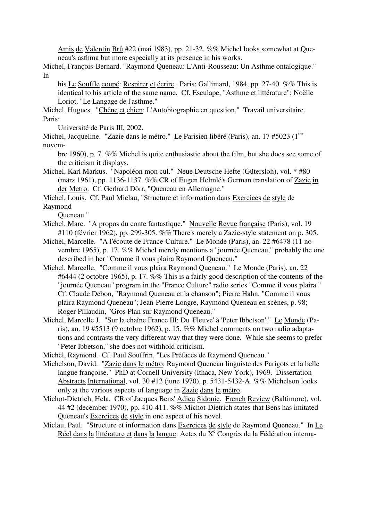Amis de Valentin Brû #22 (mai 1983), pp. 21-32. %% Michel looks somewhat at Queneau's asthma but more especially at its presence in his works.

Michel, François-Bernard. "Raymond Queneau: L'Anti-Rousseau: Un Asthme ontalogique." In

his Le Souffle coupé: Respirer et écrire. Paris: Gallimard, 1984, pp. 27-40. %% This is identical to his article of the same name. Cf. Esculape, "Asthme et littérature"; Noëlle Loriot, "Le Langage de l'asthme."

Michel, Hugues. "Chêne et chien: L'Autobiographie en question." Travail universitaire. Paris:

Université de Paris III, 2002.

Michel, Jacqueline. "Zazie dans le métro." Le Parisien libéré (Paris), an. 17 #5023 (1<sup>ier</sup>) novem-

bre 1960), p. 7. %% Michel is quite enthusiastic about the film, but she does see some of the criticism it displays.

Michel, Karl Markus. "Napoléon mon cul." Neue Deutsche Hefte (Gütersloh), vol. \* #80 (märz 1961), pp. 1136-1137. %% CR of Eugen Helmlé's German translation of Zazie in der Metro. Cf. Gerhard Dörr, "Queneau en Allemagne."

Michel, Louis. Cf. Paul Miclau, "Structure et information dans Exercices de style de

Raymond

Queneau."

- Michel, Marc. "A propos du conte fantastique." Nouvelle Revue française (Paris), vol. 19 #110 (février 1962), pp. 299-305. %% There's merely a Zazie-style statement on p. 305.
- Michel, Marcelle. "A l'écoute de France-Culture." Le Monde (Paris), an. 22 #6478 (11 novembre 1965), p. 17. %% Michel merely mentions a "journée Queneau," probably the one described in her "Comme il vous plaira Raymond Queneau."
- Michel, Marcelle. "Comme il vous plaira Raymond Queneau." Le Monde (Paris), an. 22 #6444 (2 octobre 1965), p. 17. %% This is a fairly good description of the contents of the "journée Queneau" program in the "France Culture" radio series "Comme il vous plaira." Cf. Claude Debon, "Raymond Queneau et la chanson"; Pierre Hahn, "Comme il vous plaira Raymond Queneau"; Jean-Pierre Longre, Raymond Queneau en scènes, p. 98; Roger Pillaudin, "Gros Plan sur Raymond Queneau."
- Michel, Marcelle J. "Sur la chaîne France III: Du 'Fleuve' à 'Peter Ibbetson'." Le Monde (Paris), an. 19 #5513 (9 octobre 1962), p. 15. %% Michel comments on two radio adaptations and contrasts the very different way that they were done. While she seems to prefer "Peter Ibbetson," she does not withhold criticism.
- Michel, Raymond. Cf. Paul Souffrin, "Les Préfaces de Raymond Queneau."
- Michelson, David. "Zazie dans le métro: Raymond Queneau linguiste des Parigots et la belle langue françoise." PhD at Cornell University (Ithaca, New York), 1969. Dissertation Abstracts International, vol. 30 #12 (june 1970), p. 5431-5432-A. %% Michelson looks only at the various aspects of language in Zazie dans le métro.
- Michot-Dietrich, Hela. CR of Jacques Bens' Adieu Sidonie. French Review (Baltimore), vol. 44 #2 (december 1970), pp. 410-411. %% Michot-Dietrich states that Bens has imitated Queneau's Exercices de style in one aspect of his novel.
- Miclau, Paul. "Structure et information dans Exercices de style de Raymond Queneau." In Le Réel dans la littérature et dans la langue: Actes du X<sup>e</sup> Congrès de la Fédération interna-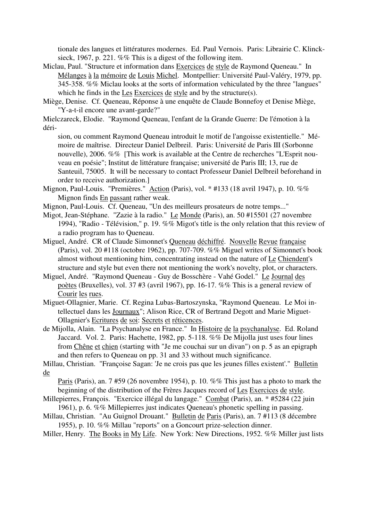tionale des langues et littératures modernes. Ed. Paul Vernois. Paris: Librairie C. Klincksieck, 1967, p. 221. %% This is a digest of the following item.

- Miclau, Paul. "Structure et information dans Exercices de style de Raymond Queneau." In Mélanges à la mémoire de Louis Michel. Montpellier: Université Paul-Valéry, 1979, pp. 345-358. %% Miclau looks at the sorts of information vehiculated by the three "langues" which he finds in the Les Exercices de style and by the structure(s).
- Miège, Denise. Cf. Queneau, Réponse à une enquête de Claude Bonnefoy et Denise Miège, "Y-a-t-il encore une avant-garde?"

Mielczareck, Elodie. "Raymond Queneau, l'enfant de la Grande Guerre: De l'émotion à la déri-

sion, ou comment Raymond Queneau introduit le motif de l'angoisse existentielle." Mémoire de maîtrise. Directeur Daniel Delbreil. Paris: Université de Paris III (Sorbonne nouvelle), 2006. %% [This work is available at the Centre de recherches "L'Esprit nouveau en poésie"; Institut de littérature française; université de Paris III; 13, rue de Santeuil, 75005. It will be necessary to contact Professeur Daniel Delbreil beforehand in order to receive authorization.]

- Mignon, Paul-Louis. "Premières." Action (Paris), vol. \* #133 (18 avril 1947), p. 10. %% Mignon finds En passant rather weak.
- Mignon, Paul-Louis. Cf. Queneau, "Un des meilleurs prosateurs de notre temps..."
- Migot, Jean-Stéphane. "Zazie à la radio." Le Monde (Paris), an. 50 #15501 (27 novembre 1994), "Radio - Télévision," p. 19. %% Migot's title is the only relation that this review of a radio program has to Queneau.
- Miguel, André. CR of Claude Simonnet's Queneau déchiffré. Nouvelle Revue française (Paris), vol. 20 #118 (octobre 1962), pp. 707-709. %% Miguel writes of Simonnet's book almost without mentioning him, concentrating instead on the nature of Le Chiendent's structure and style but even there not mentioning the work's novelty, plot, or characters.
- Miguel, André. "Raymond Queneau Guy de Bosschère Vahé Godel." Le Journal des poètes (Bruxelles), vol. 37 #3 (avril 1967), pp. 16-17. %% This is a general review of Courir les rues.
- Miguet-Ollagnier, Marie. Cf. Regina Lubas-Bartoszynska, "Raymond Queneau. Le Moi intellectuel dans les Journaux"; Alison Rice, CR of Bertrand Degott and Marie Miguet-Ollagnier's Ecritures de soi: Secrets et réticences.
- de Mijolla, Alain. "La Psychanalyse en France." In Histoire de la psychanalyse. Ed. Roland Jaccard. Vol. 2. Paris: Hachette, 1982, pp. 5-118. %% De Mijolla just uses four lines from Chêne et chien (starting with "Je me couchai sur un divan") on p. 5 as an epigraph and then refers to Queneau on pp. 31 and 33 without much significance.
- Millau, Christian. "Françoise Sagan: 'Je ne crois pas que les jeunes filles existent'." Bulletin de

Paris (Paris), an. 7 #59 (26 novembre 1954), p. 10. %% This just has a photo to mark the beginning of the distribution of the Frères Jacques record of Les Exercices de style.

- Millepierres, François. "Exercice illégal du langage." Combat (Paris), an. \* #5284 (22 juin 1961), p. 6. %% Millepierres just indicates Queneau's phonetic spelling in passing.
- Millau, Christian. "Au Guignol Drouant." Bulletin de Paris (Paris), an. 7 #113 (8 décembre 1955), p. 10. %% Millau "reports" on a Goncourt prize-selection dinner.
- Miller, Henry. The Books in My Life. New York: New Directions, 1952. %% Miller just lists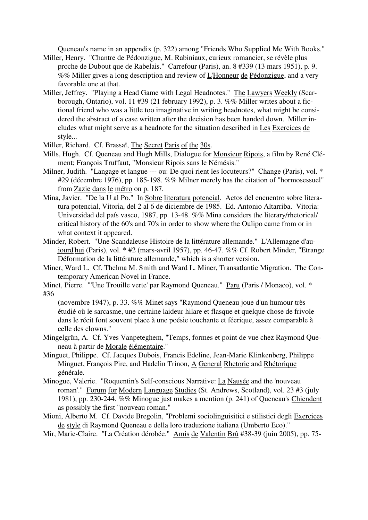Queneau's name in an appendix (p. 322) among "Friends Who Supplied Me With Books."

- Miller, Henry. "Chantre de Pédonzigue, M. Rabiniaux, curieux romancier, se révèle plus proche de Dubout que de Rabelais." Carrefour (Paris), an. 8 #339 (13 mars 1951), p. 9. %% Miller gives a long description and review of L'Honneur de Pédonzigue, and a very favorable one at that.
- Miller, Jeffrey. "Playing a Head Game with Legal Headnotes." The Lawyers Weekly (Scarborough, Ontario), vol. 11 #39 (21 february 1992), p. 3. %% Miller writes about a fictional friend who was a little too imaginative in writing headnotes, what might be considered the abstract of a case written after the decision has been handed down. Miller includes what might serve as a headnote for the situation described in Les Exercices de style...
- Miller, Richard. Cf. Brassaï, The Secret Paris of the 30s.
- Mills, Hugh. Cf. Queneau and Hugh Mills, Dialogue for Monsieur Ripois, a film by René Clément; François Truffaut, "Monsieur Ripois sans le Némésis."
- Milner, Judith. "Langage et langue --- ou: De quoi rient les locuteurs?" Change (Paris), vol. \* #29 (décembre 1976), pp. 185-198. %% Milner merely has the citation of "hormosessuel" from Zazie dans le métro on p. 187.
- Mina, Javier. "De la U al Po." In Sobre literatura potencial. Actos del encuentro sobre literatura potencial, Vitoria, del 2 al 6 de diciembre de 1985. Ed. Antonio Altarriba. Vitoria: Universidad del país vasco, 1987, pp. 13-48. %% Mina considers the literary/rhetorical/ critical history of the 60's and 70's in order to show where the Oulipo came from or in what context it appeared.
- Minder, Robert. "Une Scandaleuse Histoire de la littérature allemande." L'Allemagne d'aujourd'hui (Paris), vol. \* #2 (mars-avril 1957), pp. 46-47. %% Cf. Robert Minder, "Etrange Déformation de la littérature allemande," which is a shorter version.
- Miner, Ward L. Cf. Thelma M. Smith and Ward L. Miner, Transatlantic Migration. The Contemporary American Novel in France.
- Minet, Pierre. "'Une Trouille verte' par Raymond Queneau." Paru (Paris / Monaco), vol. \* #36

(novembre 1947), p. 33. %% Minet says "Raymond Queneau joue d'un humour très étudié où le sarcasme, une certaine laideur hilare et flasque et quelque chose de frivole dans le récit font souvent place à une poésie touchante et féerique, assez comparable à celle des clowns."

- Mingelgrün, A. Cf. Yves Vanpeteghem, "Temps, formes et point de vue chez Raymond Queneau à partir de Morale élémentaire."
- Minguet, Philippe. Cf. Jacques Dubois, Francis Edeline, Jean-Marie Klinkenberg, Philippe Minguet, François Pire, and Hadelin Trinon, A General Rhetoric and Rhétorique générale.
- Minogue, Valerie. "Roquentin's Self-conscious Narrative: La Nausée and the 'nouveau roman'." Forum for Modern Language Studies (St. Andrews, Scotland), vol. 23 #3 (july 1981), pp. 230-244. %% Minogue just makes a mention (p. 241) of Queneau's Chiendent as possibly the first "nouveau roman."
- Mioni, Alberto M. Cf. Davide Bregolin, "Problemi sociolinguisitici e stilistici degli Exercices de style di Raymond Queneau e della loro traduzione italiana (Umberto Eco)."

Mir, Marie-Claire. "La Création dérobée." Amis de Valentin Brû #38-39 (juin 2005), pp. 75-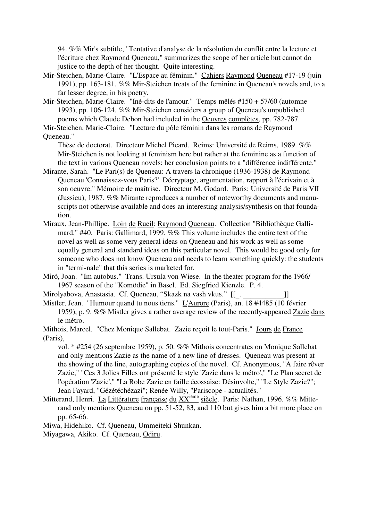94. %% Mir's subtitle, "Tentative d'analyse de la résolution du conflit entre la lecture et l'écriture chez Raymond Queneau," summarizes the scope of her article but cannot do justice to the depth of her thought. Quite interesting.

- Mir-Steichen, Marie-Claire. "L'Espace au féminin." Cahiers Raymond Queneau #17-19 (juin 1991), pp. 163-181. %% Mir-Steichen treats of the feminine in Queneau's novels and, to a far lesser degree, in his poetry.
- Mir-Steichen, Marie-Claire. "Iné-dits de l'amour." Temps mêlés #150 + 57/60 (automne 1993), pp. 106-124. %% Mir-Steichen considers a group of Queneau's unpublished poems which Claude Debon had included in the Oeuvres complètes, pp. 782-787.

Mir-Steichen, Marie-Claire. "Lecture du pôle féminin dans les romans de Raymond Queneau."

Thèse de doctorat. Directeur Michel Picard. Reims: Université de Reims, 1989. %% Mir-Steichen is not looking at feminism here but rather at the feminine as a function of the text in various Queneau novels: her conclusion points to a "différence indifférente."

- Mirante, Sarah. "Le Pari(s) de Queneau: A travers la chronique (1936-1938) de Raymond Queneau 'Connaissez-vous Paris?' Décryptage, argumentation, rapport à l'écrivain et à son oeuvre." Mémoire de maîtrise. Directeur M. Godard. Paris: Université de Paris VII (Jussieu), 1987. %% Mirante reproduces a number of noteworthy documents and manuscripts not otherwise available and does an interesting analysis/synthesis on that foundation.
- Miraux, Jean-Phillipe. Loin de Rueil: Raymond Queneau. Collection "Bibliothèque Gallimard," #40. Paris: Gallimard, 1999. %% This volume includes the entire text of the novel as well as some very general ideas on Queneau and his work as well as some equally general and standard ideas on this particular novel. This would be good only for someone who does not know Queneau and needs to learn something quickly: the students in "termi-nale" that this series is marketed for.
- Miró, Joan. "Im autobus." Trans. Ursula von Wiese. In the theater program for the 1966/ 1967 season of the "Komödie" in Basel. Ed. Siegfried Kienzle. P. 4.
- Mirolyabova, Anastasia. Cf. Queneau, "Skazk na vash vkus." [[\_. \_\_\_\_\_\_\_\_\_\_\_]]
- Mistler, Jean. "Humour quand tu nous tiens." L'Aurore (Paris), an. 18 #4485 (10 février 1959), p. 9. %% Mistler gives a rather average review of the recently-appeared Zazie dans le métro.
- Mithois, Marcel. "Chez Monique Sallebat. Zazie reçoit le tout-Paris." Jours de France (Paris),
	- vol. \* #254 (26 septembre 1959), p. 50. %% Mithois concentrates on Monique Sallebat and only mentions Zazie as the name of a new line of dresses. Queneau was present at the showing of the line, autographing copies of the novel. Cf. Anonymous, "A faire rêver Zazie," "Ces 3 Jolies Filles ont présenté le style 'Zazie dans le métro'," "Le Plan secret de l'opération 'Zazie'," "La Robe Zazie en faille écossaise: Désinvolte," "Le Style Zazie?"; Jean Fayard, "Gézétéchézazi"; Renée Willy, "Pariscope - actualités."
- Mitterand, Henri. La Littérature française du XX<sup>ième</sup> siècle. Paris: Nathan, 1996. %% Mitterand only mentions Queneau on pp. 51-52, 83, and 110 but gives him a bit more place on pp. 65-66.

Miwa, Hidehiko. Cf. Queneau, Ummeiteki Shunkan.

Miyagawa, Akiko. Cf. Queneau, Odiru.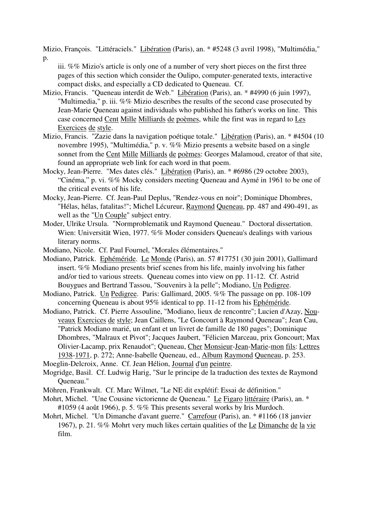Mizio, François. "Littéraciels." Libération (Paris), an. \* #5248 (3 avril 1998), "Multimédia,"

p.

iii. %% Mizio's article is only one of a number of very short pieces on the first three pages of this section which consider the Oulipo, computer-generated texts, interactive compact disks, and especially a CD dedicated to Queneau. Cf.

- Mizio, Francis. "Queneau interdit de Web." Libération (Paris), an. \* #4990 (6 juin 1997), "Multimedia," p. iii. %% Mizio describes the results of the second case prosecuted by Jean-Marie Queneau against individuals who published his father's works on line. This case concerned Cent Mille Milliards de poèmes, while the first was in regard to Les Exercices de style.
- Mizio, Francis. "Zazie dans la navigation poétique totale." Libération (Paris), an. \* #4504 (10 novembre 1995), "Multimédia," p. v. %% Mizio presents a website based on a single sonnet from the Cent Mille Milliards de poèmes: Georges Malamoud, creator of that site, found an appropriate web link for each word in that poem.
- Mocky, Jean-Pierre. "Mes dates clés." Libération (Paris), an. \* #6986 (29 octobre 2003), "Cinéma," p. vi. %% Mocky considers meeting Queneau and Aymé in 1961 to be one of the critical events of his life.
- Mocky, Jean-Pierre. Cf. Jean-Paul Deplus, "Rendez-vous en noir"; Dominique Dhombres, "Hélas, hélas, fatalitas!"; Michel Lécureur, Raymond Queneau, pp. 487 and 490-491, as well as the "Un Couple" subject entry.
- Moder, Ulrike Ursula. "Normproblematik und Raymond Queneau." Doctoral dissertation. Wien: Universität Wien, 1977. %% Moder considers Queneau's dealings with various literary norms.
- Modiano, Nicole. Cf. Paul Fournel, "Morales élémentaires."
- Modiano, Patrick. Ephéméride. Le Monde (Paris), an. 57 #17751 (30 juin 2001), Gallimard insert. %% Modiano presents brief scenes from his life, mainly involving his father and/or tied to various streets. Queneau comes into view on pp. 11-12. Cf. Astrid Bouygues and Bertrand Tassou, "Souvenirs à la pelle"; Modiano, Un Pedigree.
- Modiano, Patrick. Un Pedigree. Paris: Gallimard, 2005. %% The passage on pp. 108-109 concerning Queneau is about 95% identical to pp. 11-12 from his Ephéméride.
- Modiano, Patrick. Cf. Pierre Assouline, "Modiano, lieux de rencontre"; Lucien d'Azay, Nouveaux Exercices de style; Jean Caillens, "Le Goncourt à Raymond Queneau"; Jean Cau, "Patrick Modiano marié, un enfant et un livret de famille de 180 pages"; Dominique Dhombres, "Malraux et Pivot"; Jacques Jaubert, "Félicien Marceau, prix Goncourt; Max Olivier-Lacamp, prix Renaudot"; Queneau, Cher Monsieur-Jean-Marie-mon fils: Lettres 1938-1971, p. 272; Anne-Isabelle Queneau, ed., Album Raymond Queneau, p. 253.
- Moeglin-Delcroix, Anne. Cf. Jean Hélion, Journal d'un peintre.
- Mogridge, Basil. Cf. Ludwig Harig, "Sur le principe de la traduction des textes de Raymond Queneau."
- Möhren, Frankwalt. Cf. Marc Wilmet, "Le NE dit explétif: Essai de définition."
- Mohrt, Michel. "Une Cousine victorienne de Queneau." Le Figaro littéraire (Paris), an. \* #1059 (4 août 1966), p. 5. %% This presents several works by Iris Murdoch.
- Mohrt, Michel. "Un Dimanche d'avant guerre." Carrefour (Paris), an. \* #1166 (18 janvier 1967), p. 21. %% Mohrt very much likes certain qualities of the Le Dimanche de la vie film.